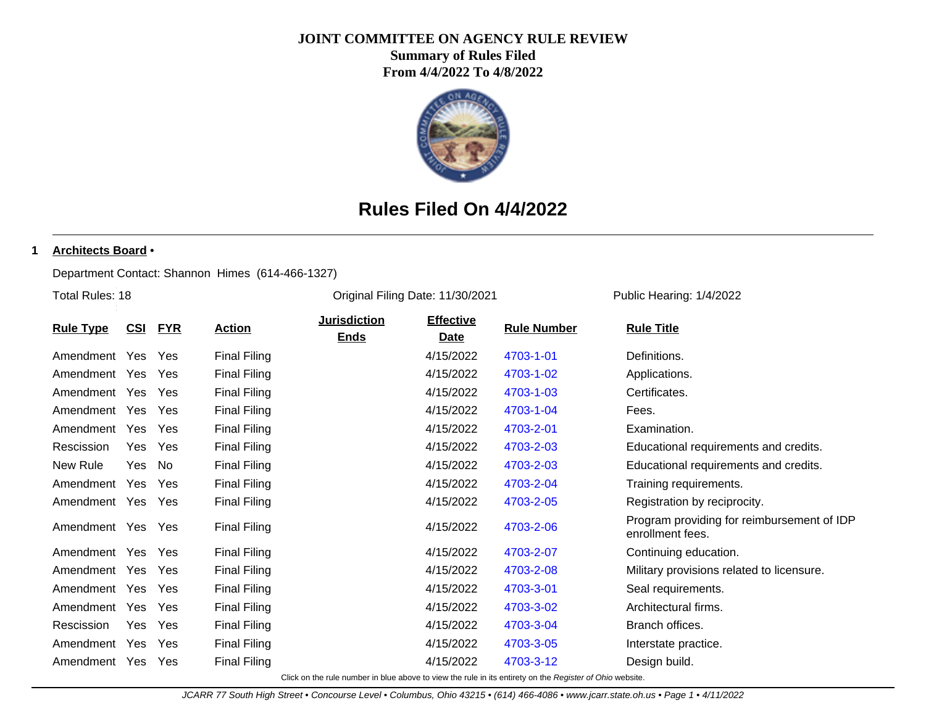### **JOINT COMMITTEE ON AGENCY RULE REVIEW**

**Summary of Rules Filed From 4/4/2022 To 4/8/2022**



# **Rules Filed On 4/4/2022**

### **1 Architects Board** •

Department Contact: Shannon Himes (614-466-1327)

Total Rules: 18

Original Filing Date: 11/30/2021 Public Hearing: 1/4/2022

|                  |            |            |                     | <b>Jurisdiction</b> | <b>Effective</b> |                                                                                                          |                                                                |
|------------------|------------|------------|---------------------|---------------------|------------------|----------------------------------------------------------------------------------------------------------|----------------------------------------------------------------|
| <b>Rule Type</b> | <u>CSI</u> | <u>FYR</u> | <b>Action</b>       | <b>Ends</b>         | <b>Date</b>      | <b>Rule Number</b>                                                                                       | <b>Rule Title</b>                                              |
| Amendment Yes    |            | Yes        | <b>Final Filing</b> |                     | 4/15/2022        | 4703-1-01                                                                                                | Definitions.                                                   |
| Amendment        | Yes        | Yes        | <b>Final Filing</b> |                     | 4/15/2022        | 4703-1-02                                                                                                | Applications.                                                  |
| Amendment        | Yes.       | Yes        | <b>Final Filing</b> |                     | 4/15/2022        | 4703-1-03                                                                                                | Certificates.                                                  |
| Amendment        | Yes        | Yes        | <b>Final Filing</b> |                     | 4/15/2022        | 4703-1-04                                                                                                | Fees.                                                          |
| Amendment        | Yes.       | Yes        | <b>Final Filing</b> |                     | 4/15/2022        | 4703-2-01                                                                                                | Examination.                                                   |
| Rescission       | Yes.       | Yes        | <b>Final Filing</b> |                     | 4/15/2022        | 4703-2-03                                                                                                | Educational requirements and credits.                          |
| New Rule         | Yes        | No         | <b>Final Filing</b> |                     | 4/15/2022        | 4703-2-03                                                                                                | Educational requirements and credits.                          |
| Amendment        | Yes        | Yes        | <b>Final Filing</b> |                     | 4/15/2022        | 4703-2-04                                                                                                | Training requirements.                                         |
| Amendment        | Yes        | Yes        | <b>Final Filing</b> |                     | 4/15/2022        | 4703-2-05                                                                                                | Registration by reciprocity.                                   |
| Amendment Yes    |            | Yes        | <b>Final Filing</b> |                     | 4/15/2022        | 4703-2-06                                                                                                | Program providing for reimbursement of IDP<br>enrollment fees. |
| Amendment Yes    |            | Yes        | <b>Final Filing</b> |                     | 4/15/2022        | 4703-2-07                                                                                                | Continuing education.                                          |
| Amendment Yes    |            | Yes        | <b>Final Filing</b> |                     | 4/15/2022        | 4703-2-08                                                                                                | Military provisions related to licensure.                      |
| Amendment        | Yes        | Yes        | <b>Final Filing</b> |                     | 4/15/2022        | 4703-3-01                                                                                                | Seal requirements.                                             |
| Amendment        | Yes        | Yes        | <b>Final Filing</b> |                     | 4/15/2022        | 4703-3-02                                                                                                | Architectural firms.                                           |
| Rescission       | Yes        | Yes        | <b>Final Filing</b> |                     | 4/15/2022        | 4703-3-04                                                                                                | Branch offices.                                                |
| Amendment        | Yes        | Yes        | <b>Final Filing</b> |                     | 4/15/2022        | 4703-3-05                                                                                                | Interstate practice.                                           |
| Amendment        | Yes        | Yes        | <b>Final Filing</b> |                     | 4/15/2022        | 4703-3-12                                                                                                | Design build.                                                  |
|                  |            |            |                     |                     |                  | Click on the rule number in blue above to view the rule in its entirety on the Register of Ohio website. |                                                                |

JCARR 77 South High Street • Concourse Level • Columbus, Ohio 43215 • (614) 466-4086 • www.jcarr.state.oh.us • Page 1 • 4/11/2022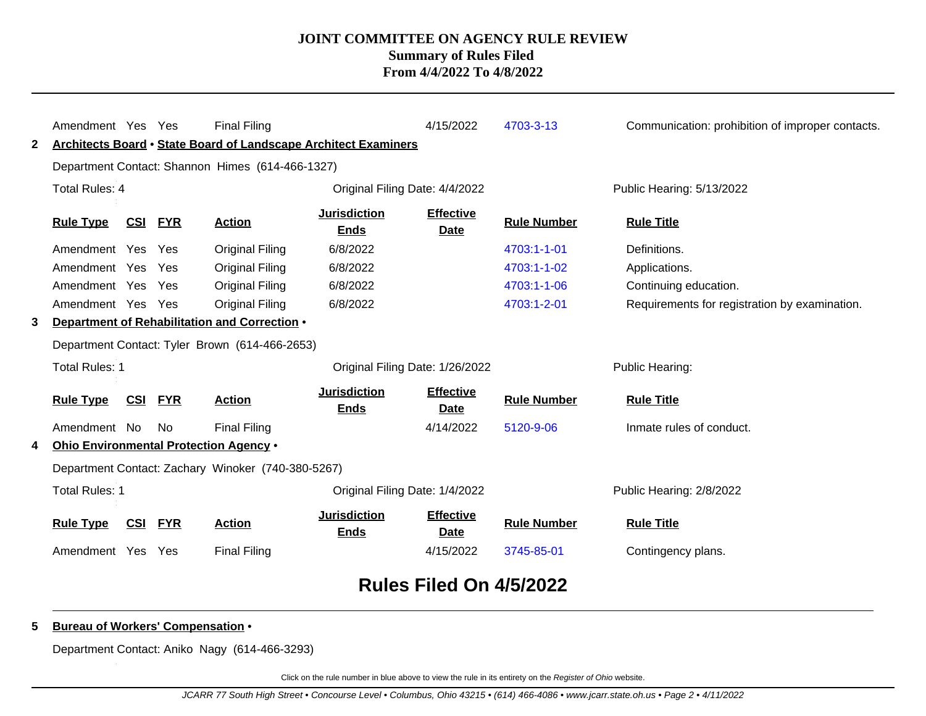|                | Amendment Yes Yes     |            |            | <b>Final Filing</b>                                             |                                    | 4/15/2022                       | 4703-3-13          | Communication: prohibition of improper contacts. |
|----------------|-----------------------|------------|------------|-----------------------------------------------------------------|------------------------------------|---------------------------------|--------------------|--------------------------------------------------|
| 2              |                       |            |            | Architects Board • State Board of Landscape Architect Examiners |                                    |                                 |                    |                                                  |
|                |                       |            |            | Department Contact: Shannon Himes (614-466-1327)                |                                    |                                 |                    |                                                  |
|                | <b>Total Rules: 4</b> |            |            |                                                                 |                                    | Original Filing Date: 4/4/2022  |                    | Public Hearing: 5/13/2022                        |
|                | <b>Rule Type</b>      | <u>CSI</u> | <b>FYR</b> | <b>Action</b>                                                   | <b>Jurisdiction</b><br><b>Ends</b> | <b>Effective</b><br><b>Date</b> | <b>Rule Number</b> | <b>Rule Title</b>                                |
|                | Amendment Yes Yes     |            |            | <b>Original Filing</b>                                          | 6/8/2022                           |                                 | 4703:1-1-01        | Definitions.                                     |
|                | Amendment Yes         |            | Yes        | <b>Original Filing</b>                                          | 6/8/2022                           |                                 | 4703:1-1-02        | Applications.                                    |
|                | Amendment Yes         |            | Yes        | <b>Original Filing</b>                                          | 6/8/2022                           |                                 | 4703:1-1-06        | Continuing education.                            |
|                | Amendment Yes Yes     |            |            | <b>Original Filing</b>                                          | 6/8/2022                           |                                 | 4703:1-2-01        | Requirements for registration by examination.    |
| 3              |                       |            |            | Department of Rehabilitation and Correction .                   |                                    |                                 |                    |                                                  |
|                |                       |            |            | Department Contact: Tyler Brown (614-466-2653)                  |                                    |                                 |                    |                                                  |
|                | <b>Total Rules: 1</b> |            |            |                                                                 |                                    | Original Filing Date: 1/26/2022 |                    | Public Hearing:                                  |
|                | <b>Rule Type</b>      | <u>CSI</u> | <b>FYR</b> | <b>Action</b>                                                   | <b>Jurisdiction</b><br><b>Ends</b> | <b>Effective</b><br>Date        | <b>Rule Number</b> | <b>Rule Title</b>                                |
|                | Amendment No          |            | No.        | <b>Final Filing</b>                                             |                                    | 4/14/2022                       | 5120-9-06          | Inmate rules of conduct.                         |
| 4              |                       |            |            | Ohio Environmental Protection Agency .                          |                                    |                                 |                    |                                                  |
|                |                       |            |            | Department Contact: Zachary Winoker (740-380-5267)              |                                    |                                 |                    |                                                  |
| Total Rules: 1 |                       |            |            |                                                                 |                                    | Original Filing Date: 1/4/2022  |                    | Public Hearing: 2/8/2022                         |
|                | <b>Rule Type</b>      | CSI        | <b>FYR</b> | <b>Action</b>                                                   | <b>Jurisdiction</b><br><b>Ends</b> | <b>Effective</b><br><b>Date</b> | <b>Rule Number</b> | <b>Rule Title</b>                                |
|                | Amendment Yes         |            | Yes        | <b>Final Filing</b>                                             |                                    | 4/15/2022                       | 3745-85-01         | Contingency plans.                               |
|                |                       |            |            |                                                                 |                                    | Rules Filed On 4/5/2022         |                    |                                                  |

### **5 Bureau of Workers' Compensation** •

Department Contact: Aniko Nagy (614-466-3293)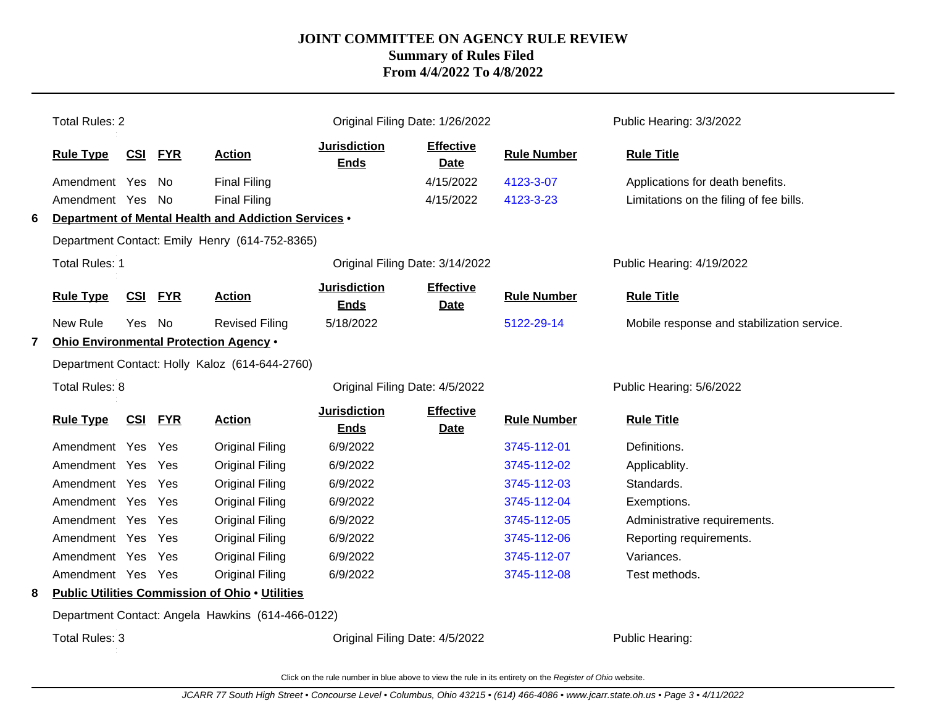|   | <b>Total Rules: 2</b> |            |            |                                                        |                                    | Original Filing Date: 1/26/2022 |                    | Public Hearing: 3/3/2022                   |
|---|-----------------------|------------|------------|--------------------------------------------------------|------------------------------------|---------------------------------|--------------------|--------------------------------------------|
|   | <b>Rule Type</b>      | CSI        | <b>FYR</b> | <b>Action</b>                                          | <b>Jurisdiction</b><br><b>Ends</b> | <b>Effective</b><br><b>Date</b> | <b>Rule Number</b> | <b>Rule Title</b>                          |
|   | Amendment Yes         |            | No.        | <b>Final Filing</b>                                    |                                    | 4/15/2022                       | 4123-3-07          | Applications for death benefits.           |
|   | Amendment Yes         |            | No         | <b>Final Filing</b>                                    |                                    | 4/15/2022                       | 4123-3-23          | Limitations on the filing of fee bills.    |
| 6 |                       |            |            | Department of Mental Health and Addiction Services .   |                                    |                                 |                    |                                            |
|   |                       |            |            | Department Contact: Emily Henry (614-752-8365)         |                                    |                                 |                    |                                            |
|   | <b>Total Rules: 1</b> |            |            |                                                        |                                    | Original Filing Date: 3/14/2022 |                    | Public Hearing: 4/19/2022                  |
|   | <b>Rule Type</b>      | CSI        | <b>FYR</b> | <b>Action</b>                                          | <b>Jurisdiction</b><br><b>Ends</b> | <b>Effective</b><br>Date        | <b>Rule Number</b> | <b>Rule Title</b>                          |
|   | New Rule              | <b>Yes</b> | No         | <b>Revised Filing</b>                                  | 5/18/2022                          |                                 | 5122-29-14         | Mobile response and stabilization service. |
| 7 |                       |            |            | Ohio Environmental Protection Agency .                 |                                    |                                 |                    |                                            |
|   |                       |            |            | Department Contact: Holly Kaloz (614-644-2760)         |                                    |                                 |                    |                                            |
|   | Total Rules: 8        |            |            |                                                        |                                    | Original Filing Date: 4/5/2022  |                    | Public Hearing: 5/6/2022                   |
|   | <b>Rule Type</b>      | <u>CSI</u> | <b>FYR</b> | <b>Action</b>                                          | <b>Jurisdiction</b><br><b>Ends</b> | <b>Effective</b><br><b>Date</b> | <b>Rule Number</b> | <b>Rule Title</b>                          |
|   | Amendment Yes         |            | Yes        | <b>Original Filing</b>                                 | 6/9/2022                           |                                 | 3745-112-01        | Definitions.                               |
|   | Amendment Yes         |            | Yes        | <b>Original Filing</b>                                 | 6/9/2022                           |                                 | 3745-112-02        | Applicablity.                              |
|   | Amendment Yes         |            | Yes        | <b>Original Filing</b>                                 | 6/9/2022                           |                                 | 3745-112-03        | Standards.                                 |
|   | Amendment Yes         |            | Yes        | <b>Original Filing</b>                                 | 6/9/2022                           |                                 | 3745-112-04        | Exemptions.                                |
|   | Amendment Yes         |            | Yes        | <b>Original Filing</b>                                 | 6/9/2022                           |                                 | 3745-112-05        | Administrative requirements.               |
|   | Amendment Yes         |            | Yes        | <b>Original Filing</b>                                 | 6/9/2022                           |                                 | 3745-112-06        | Reporting requirements.                    |
|   | Amendment Yes         |            | Yes        | <b>Original Filing</b>                                 | 6/9/2022                           |                                 | 3745-112-07        | Variances.                                 |
|   | Amendment Yes Yes     |            |            | <b>Original Filing</b>                                 | 6/9/2022                           |                                 | 3745-112-08        | Test methods.                              |
| 8 |                       |            |            | <b>Public Utilities Commission of Ohio . Utilities</b> |                                    |                                 |                    |                                            |
|   |                       |            |            | Department Contact: Angela Hawkins (614-466-0122)      |                                    |                                 |                    |                                            |

Total Rules: 3

Original Filing Date: 4/5/2022 Public Hearing: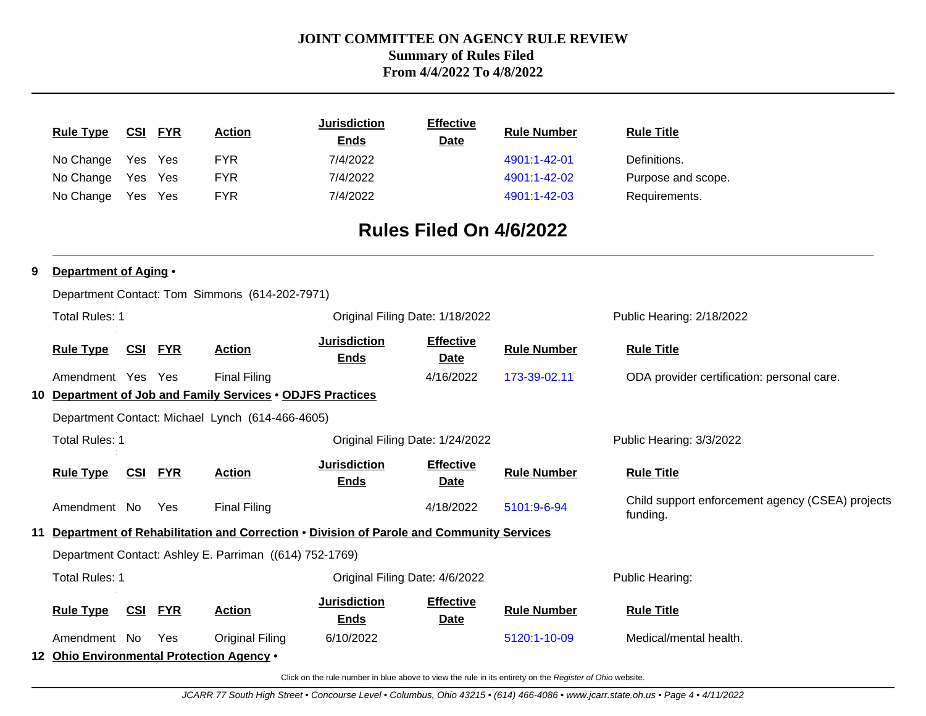|   |                                           |                |                |                                                            | <b>Jurisdiction</b>                                                                        | <b>Effective</b>                |                    |                                                              |
|---|-------------------------------------------|----------------|----------------|------------------------------------------------------------|--------------------------------------------------------------------------------------------|---------------------------------|--------------------|--------------------------------------------------------------|
|   | <b>Rule Type</b>                          |                | <b>CSI FYR</b> | <b>Action</b>                                              | <b>Ends</b>                                                                                | <b>Date</b>                     | <b>Rule Number</b> | <b>Rule Title</b>                                            |
|   | No Change                                 | Yes Yes        |                | <b>FYR</b>                                                 | 7/4/2022                                                                                   |                                 | 4901:1-42-01       | Definitions.                                                 |
|   | No Change                                 | Yes            | Yes            | <b>FYR</b>                                                 | 7/4/2022                                                                                   |                                 | 4901:1-42-02       | Purpose and scope.                                           |
|   | No Change                                 | Yes Yes        |                | <b>FYR</b>                                                 | 7/4/2022                                                                                   |                                 | 4901:1-42-03       | Requirements.                                                |
|   |                                           |                |                |                                                            |                                                                                            | Rules Filed On 4/6/2022         |                    |                                                              |
| 9 | Department of Aging .                     |                |                |                                                            |                                                                                            |                                 |                    |                                                              |
|   |                                           |                |                | Department Contact: Tom Simmons (614-202-7971)             |                                                                                            |                                 |                    |                                                              |
|   | <b>Total Rules: 1</b>                     |                |                |                                                            | Original Filing Date: 1/18/2022                                                            |                                 |                    | Public Hearing: 2/18/2022                                    |
|   | <b>Rule Type</b>                          | <b>CSI FYR</b> |                | <b>Action</b>                                              | <b>Jurisdiction</b><br><b>Ends</b>                                                         | <b>Effective</b><br>Date        | <b>Rule Number</b> | <b>Rule Title</b>                                            |
|   | Amendment Yes Yes                         |                |                | <b>Final Filing</b>                                        |                                                                                            | 4/16/2022                       | 173-39-02.11       | ODA provider certification: personal care.                   |
|   |                                           |                |                | 10 Department of Job and Family Services . ODJFS Practices |                                                                                            |                                 |                    |                                                              |
|   |                                           |                |                | Department Contact: Michael Lynch (614-466-4605)           |                                                                                            |                                 |                    |                                                              |
|   | <b>Total Rules: 1</b>                     |                |                |                                                            | Original Filing Date: 1/24/2022                                                            |                                 |                    | Public Hearing: 3/3/2022                                     |
|   | <b>Rule Type</b>                          | <b>CSI FYR</b> |                | <b>Action</b>                                              | <b>Jurisdiction</b><br><b>Ends</b>                                                         | <b>Effective</b><br><b>Date</b> | <b>Rule Number</b> | <b>Rule Title</b>                                            |
|   | Amendment No                              |                | Yes            | <b>Final Filing</b>                                        |                                                                                            | 4/18/2022                       | 5101:9-6-94        | Child support enforcement agency (CSEA) projects<br>funding. |
|   |                                           |                |                |                                                            | 11 Department of Rehabilitation and Correction . Division of Parole and Community Services |                                 |                    |                                                              |
|   |                                           |                |                | Department Contact: Ashley E. Parriman ((614) 752-1769)    |                                                                                            |                                 |                    |                                                              |
|   | <b>Total Rules: 1</b>                     |                |                |                                                            | Original Filing Date: 4/6/2022                                                             |                                 |                    | Public Hearing:                                              |
|   | <b>Rule Type</b>                          | <b>CSI</b>     | <b>FYR</b>     | <b>Action</b>                                              | <b>Jurisdiction</b><br><b>Ends</b>                                                         | <b>Effective</b><br><b>Date</b> | <b>Rule Number</b> | <b>Rule Title</b>                                            |
|   | Amendment No                              |                | Yes            | <b>Original Filing</b>                                     | 6/10/2022                                                                                  |                                 | 5120:1-10-09       | Medical/mental health.                                       |
|   | 12 Ohio Environmental Protection Agency . |                |                |                                                            |                                                                                            |                                 |                    |                                                              |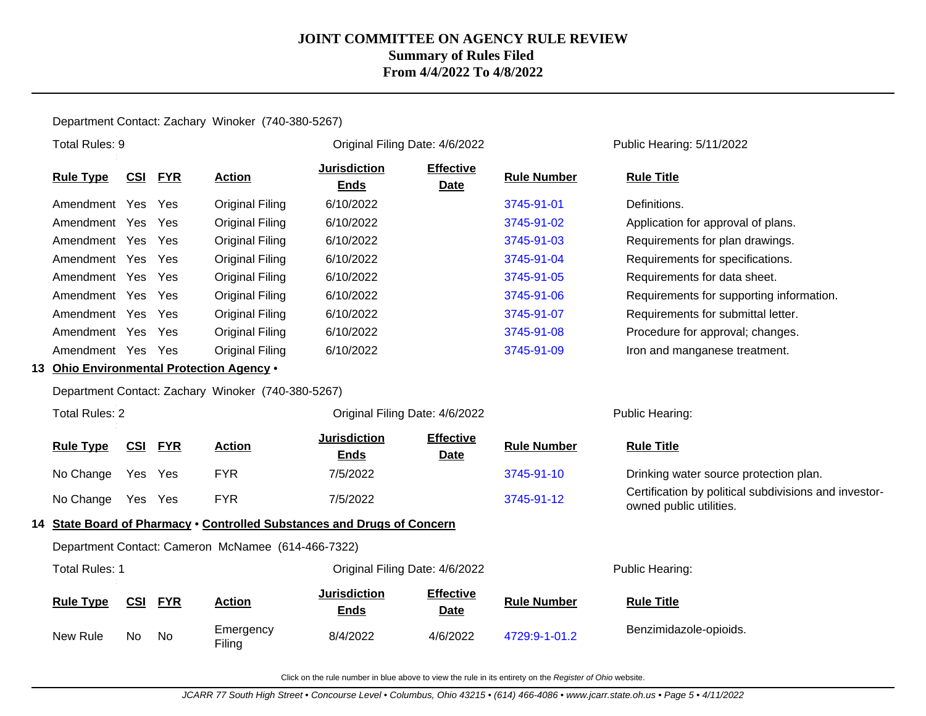### Department Contact: Zachary Winoker (740-380-5267)

| Total Rules: 9                            |            |            |                                                    | Original Filing Date: 4/6/2022                                          |                                 |                    | Public Hearing: 5/11/2022                                                        |
|-------------------------------------------|------------|------------|----------------------------------------------------|-------------------------------------------------------------------------|---------------------------------|--------------------|----------------------------------------------------------------------------------|
| <b>Rule Type</b>                          | <u>CSI</u> | <b>FYR</b> | <b>Action</b>                                      | <b>Jurisdiction</b><br><b>Ends</b>                                      | <b>Effective</b><br><b>Date</b> | <b>Rule Number</b> | <b>Rule Title</b>                                                                |
| Amendment Yes Yes                         |            |            | <b>Original Filing</b>                             | 6/10/2022                                                               |                                 | 3745-91-01         | Definitions.                                                                     |
| Amendment Yes                             |            | Yes        | <b>Original Filing</b>                             | 6/10/2022                                                               |                                 | 3745-91-02         | Application for approval of plans.                                               |
| Amendment Yes Yes                         |            |            | Original Filing                                    | 6/10/2022                                                               |                                 | 3745-91-03         | Requirements for plan drawings.                                                  |
| Amendment Yes                             |            | Yes        | Original Filing                                    | 6/10/2022                                                               |                                 | 3745-91-04         | Requirements for specifications.                                                 |
| Amendment Yes                             |            | Yes        | <b>Original Filing</b>                             | 6/10/2022                                                               |                                 | 3745-91-05         | Requirements for data sheet.                                                     |
| Amendment Yes Yes                         |            |            | <b>Original Filing</b>                             | 6/10/2022                                                               |                                 | 3745-91-06         | Requirements for supporting information.                                         |
| Amendment Yes Yes                         |            |            | <b>Original Filing</b>                             | 6/10/2022                                                               |                                 | 3745-91-07         | Requirements for submittal letter.                                               |
| Amendment Yes Yes                         |            |            | Original Filing                                    | 6/10/2022                                                               |                                 | 3745-91-08         | Procedure for approval; changes.                                                 |
| Amendment Yes Yes                         |            |            | Original Filing                                    | 6/10/2022                                                               |                                 | 3745-91-09         | Iron and manganese treatment.                                                    |
| 13 Ohio Environmental Protection Agency . |            |            |                                                    |                                                                         |                                 |                    |                                                                                  |
|                                           |            |            | Department Contact: Zachary Winoker (740-380-5267) |                                                                         |                                 |                    |                                                                                  |
| <b>Total Rules: 2</b>                     |            |            |                                                    | Original Filing Date: 4/6/2022                                          |                                 |                    | Public Hearing:                                                                  |
| <b>Rule Type</b>                          | CSI        | <b>FYR</b> | <b>Action</b>                                      | <b>Jurisdiction</b><br><b>Ends</b>                                      | <b>Effective</b><br><b>Date</b> | <b>Rule Number</b> | <b>Rule Title</b>                                                                |
| No Change                                 | Yes        | Yes        | <b>FYR</b>                                         | 7/5/2022                                                                |                                 | 3745-91-10         | Drinking water source protection plan.                                           |
| No Change                                 | Yes Yes    |            | <b>FYR</b>                                         | 7/5/2022                                                                |                                 | 3745-91-12         | Certification by political subdivisions and investor-<br>owned public utilities. |
|                                           |            |            |                                                    | 14 State Board of Pharmacy . Controlled Substances and Drugs of Concern |                                 |                    |                                                                                  |
|                                           |            |            | Department Contact: Cameron McNamee (614-466-7322) |                                                                         |                                 |                    |                                                                                  |
| <b>Total Rules: 1</b>                     |            |            |                                                    | Original Filing Date: 4/6/2022                                          |                                 |                    | Public Hearing:                                                                  |
| <b>Rule Type</b>                          | <u>CSI</u> | <u>FYR</u> | <b>Action</b>                                      | <b>Jurisdiction</b><br><b>Ends</b>                                      | <b>Effective</b><br><b>Date</b> | <b>Rule Number</b> | <b>Rule Title</b>                                                                |
| New Rule                                  | No.        | No         | Emergency<br>Filing                                | 8/4/2022                                                                | 4/6/2022                        | 4729:9-1-01.2      | Benzimidazole-opioids.                                                           |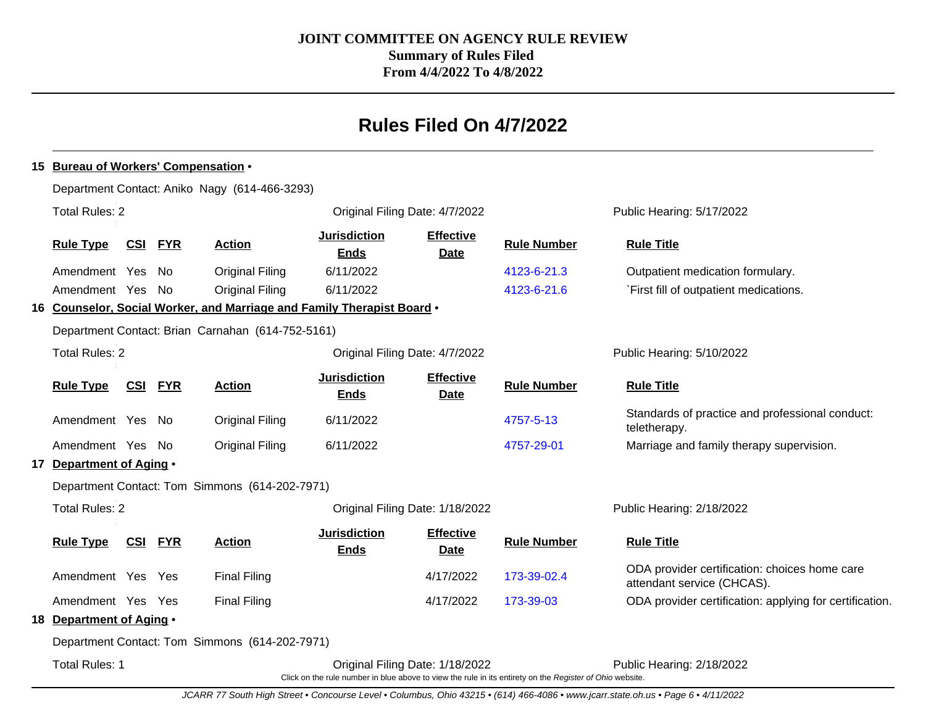# **Rules Filed On 4/7/2022**

### **15 Bureau of Workers' Compensation** • Department Contact: Aniko Nagy (614-466-3293) Total Rules: 2 Original Filing Date: 4/7/2022 Public Hearing: 5/17/2022 **Rule Type CSI FYR Action Jurisdiction Ends Effective Date Rule Number Rule Title** Amendment Yes No Original Filing 6/11/2022 [4123-6-21.3](http://www.registerofohio.state.oh.us/jsps/publicdisplayrules/processPublicDisplayRules.jsp?entered_rule_no=4123-6-21.3&doWhat=GETBYRULENUM&raID=0) Outpatient medication formulary. Amendment Yes No Original Filing 6/11/2022 [4123-6-21.6](http://www.registerofohio.state.oh.us/jsps/publicdisplayrules/processPublicDisplayRules.jsp?entered_rule_no=4123-6-21.6&doWhat=GETBYRULENUM&raID=0) `First fill of outpatient medications. **16 Counselor, Social Worker, and Marriage and Family Therapist Board** • Department Contact: Brian Carnahan (614-752-5161) Total Rules: 2 Total Rules: 2 Original Filing Date: 4/7/2022 Public Hearing: 5/10/2022 **Rule Type CSI FYR Action Jurisdiction Ends Effective Date Rule Number Rule Title** Amendment Yes No Original Filing 6/11/2022 6/11/2022 [4757-5-13](http://www.registerofohio.state.oh.us/jsps/publicdisplayrules/processPublicDisplayRules.jsp?entered_rule_no=4757-5-13&doWhat=GETBYRULENUM&raID=0) Standards of practice and professional conduct: teletherapy. Amendment Yes No Original Filing 6/11/2022 6/11 [4757-29-01](http://www.registerofohio.state.oh.us/jsps/publicdisplayrules/processPublicDisplayRules.jsp?entered_rule_no=4757-29-01&doWhat=GETBYRULENUM&raID=0) Marriage and family therapy supervision. **17 Department of Aging** • Department Contact: Tom Simmons (614-202-7971) Total Rules: 2 Original Filing Date: 1/18/2022 Public Hearing: 2/18/2022 **Rule Type CSI FYR Action Jurisdiction Ends Effective Date Rule Number Rule Title** Amendment Yes Yes Final Filing 2000 Final Filing 4/17/2022 [173-39-02.4](http://www.registerofohio.state.oh.us/jsps/publicdisplayrules/processPublicDisplayRules.jsp?entered_rule_no=173-39-02.4&doWhat=GETBYRULENUM&raID=0) ODA provider certification: choices home care attendant service (CHCAS). Amendment Yes Yes Final Filing The Term of the 4/17/2022 [173-39-03](http://www.registerofohio.state.oh.us/jsps/publicdisplayrules/processPublicDisplayRules.jsp?entered_rule_no=173-39-03&doWhat=GETBYRULENUM&raID=0) ODA provider certification: applying for certification. **18 Department of Aging** • Department Contact: Tom Simmons (614-202-7971) Total Rules: 1 Original Filing Date: 1/18/2022 Public Hearing: 2/18/2022

Click on the rule number in blue above to view the rule in its entirety on the Register of Ohio website.

JCARR 77 South High Street • Concourse Level • Columbus, Ohio 43215 • (614) 466-4086 • www.jcarr.state.oh.us • Page 6 • 4/11/2022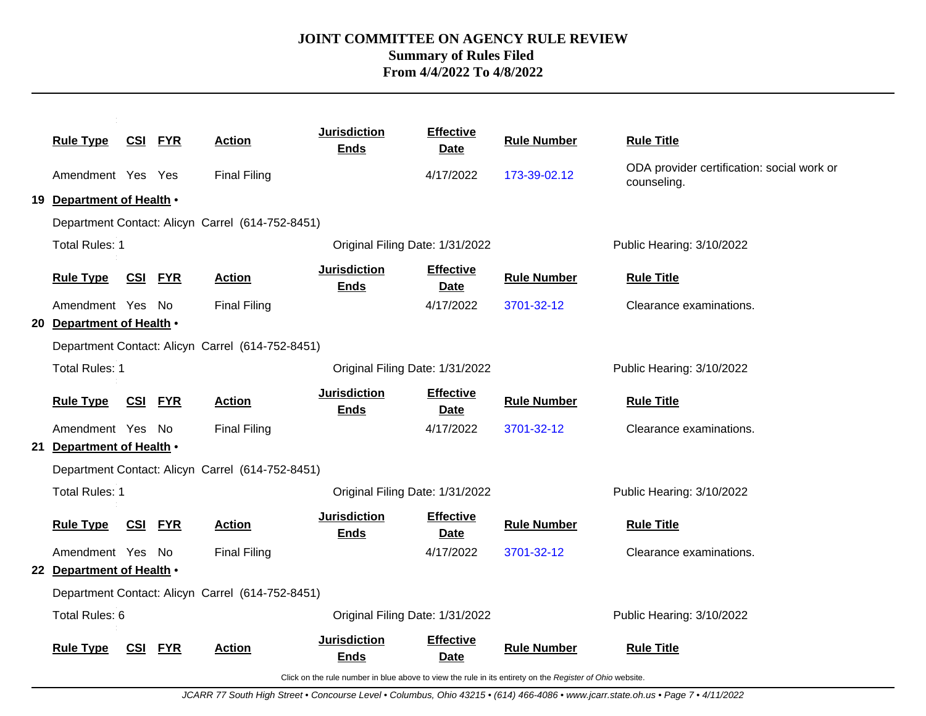| <b>Rule Type</b>          | <u>CSI FYR</u> |            | <b>Action</b>                                    | <b>Jurisdiction</b><br><b>Ends</b> | <b>Effective</b><br><b>Date</b> | <b>Rule Number</b> | <b>Rule Title</b>                                         |
|---------------------------|----------------|------------|--------------------------------------------------|------------------------------------|---------------------------------|--------------------|-----------------------------------------------------------|
| Amendment Yes Yes         |                |            | <b>Final Filing</b>                              |                                    | 4/17/2022                       | 173-39-02.12       | ODA provider certification: social work or<br>counseling. |
| 19 Department of Health . |                |            |                                                  |                                    |                                 |                    |                                                           |
|                           |                |            | Department Contact: Alicyn Carrel (614-752-8451) |                                    |                                 |                    |                                                           |
| <b>Total Rules: 1</b>     |                |            |                                                  | Original Filing Date: 1/31/2022    |                                 |                    | Public Hearing: 3/10/2022                                 |
| <b>Rule Type</b>          | <b>CSI FYR</b> |            | <b>Action</b>                                    | <b>Jurisdiction</b><br><b>Ends</b> | <b>Effective</b><br><b>Date</b> | <b>Rule Number</b> | <b>Rule Title</b>                                         |
| Amendment Yes No          |                |            | <b>Final Filing</b>                              |                                    | 4/17/2022                       | 3701-32-12         | Clearance examinations.                                   |
| 20 Department of Health . |                |            |                                                  |                                    |                                 |                    |                                                           |
|                           |                |            | Department Contact: Alicyn Carrel (614-752-8451) |                                    |                                 |                    |                                                           |
| Total Rules: 1            |                |            |                                                  | Original Filing Date: 1/31/2022    |                                 |                    | Public Hearing: 3/10/2022                                 |
| <b>Rule Type</b>          | <b>CSI FYR</b> |            | <b>Action</b>                                    | <b>Jurisdiction</b><br><b>Ends</b> | <b>Effective</b><br>Date        | <b>Rule Number</b> | <b>Rule Title</b>                                         |
| Amendment Yes No          |                |            | <b>Final Filing</b>                              |                                    | 4/17/2022                       | 3701-32-12         | Clearance examinations.                                   |
| 21 Department of Health . |                |            |                                                  |                                    |                                 |                    |                                                           |
|                           |                |            | Department Contact: Alicyn Carrel (614-752-8451) |                                    |                                 |                    |                                                           |
| <b>Total Rules: 1</b>     |                |            |                                                  | Original Filing Date: 1/31/2022    |                                 |                    | Public Hearing: 3/10/2022                                 |
| <b>Rule Type</b>          | <b>CSI FYR</b> |            | <b>Action</b>                                    | <b>Jurisdiction</b><br><b>Ends</b> | <b>Effective</b><br>Date        | <b>Rule Number</b> | <b>Rule Title</b>                                         |
| Amendment Yes No          |                |            | <b>Final Filing</b>                              |                                    | 4/17/2022                       | 3701-32-12         | Clearance examinations.                                   |
| 22 Department of Health . |                |            |                                                  |                                    |                                 |                    |                                                           |
|                           |                |            | Department Contact: Alicyn Carrel (614-752-8451) |                                    |                                 |                    |                                                           |
| Total Rules: 6            |                |            |                                                  | Original Filing Date: 1/31/2022    |                                 |                    | Public Hearing: 3/10/2022                                 |
| <b>Rule Type</b>          | CSI            | <b>FYR</b> | <b>Action</b>                                    | <b>Jurisdiction</b><br><b>Ends</b> | <b>Effective</b><br><b>Date</b> | <b>Rule Number</b> | <b>Rule Title</b>                                         |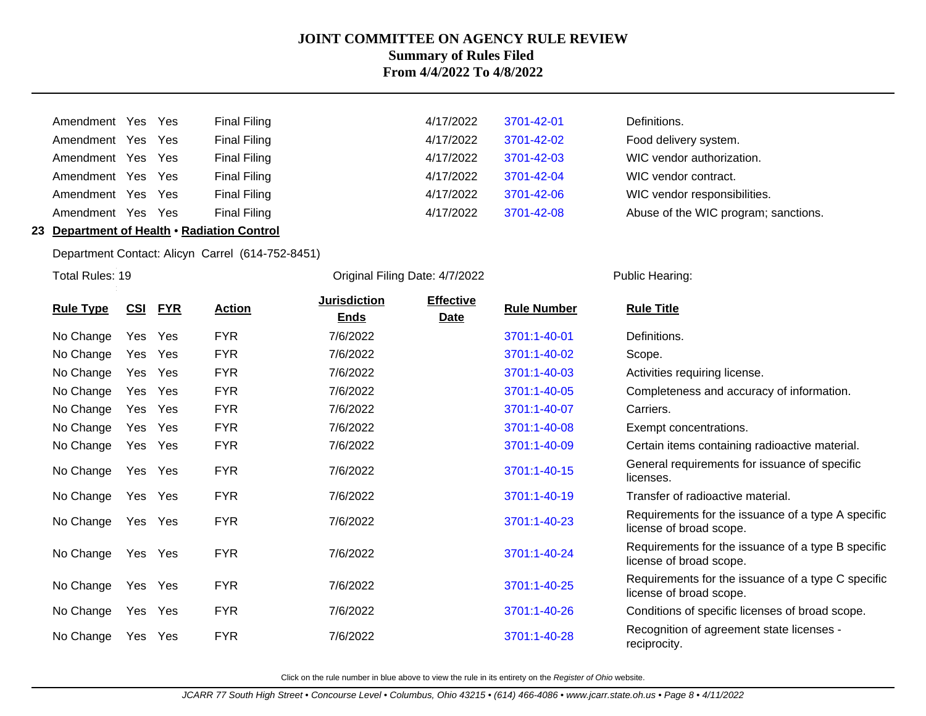| Amendment Yes Yes |  | Final Filing        | 4/17/2022 | 3701-42-01 | Definitions. |
|-------------------|--|---------------------|-----------|------------|--------------|
| Amendment Yes Yes |  | <b>Final Filing</b> | 4/17/2022 | 3701-42-02 | Food delive  |
| Amendment Yes Yes |  | <b>Final Filing</b> | 4/17/2022 | 3701-42-03 | WIC vendo    |
| Amendment Yes Yes |  | <b>Final Filing</b> | 4/17/2022 | 3701-42-04 | WIC vendo    |
| Amendment Yes Yes |  | Final Filing        | 4/17/2022 | 3701-42-06 | WIC vendo    |
| Amendment Yes Yes |  | Final Filing        | 4/17/2022 | 3701-42-08 | Abuse of th  |
|                   |  |                     |           |            |              |

| Amendment Yes Yes |  | Final Filing | 4/17/2022 | 3701-42-01 | Definitions.                         |
|-------------------|--|--------------|-----------|------------|--------------------------------------|
| Amendment Yes Yes |  | Final Filing | 4/17/2022 | 3701-42-02 | Food delivery system.                |
| Amendment Yes Yes |  | Final Filing | 4/17/2022 | 3701-42-03 | WIC vendor authorization.            |
| Amendment Yes Yes |  | Final Filing | 4/17/2022 | 3701-42-04 | WIC vendor contract.                 |
| Amendment Yes Yes |  | Final Filing | 4/17/2022 | 3701-42-06 | WIC vendor responsibilities.         |
| Amendment Yes Yes |  | Final Filing | 4/17/2022 | 3701-42-08 | Abuse of the WIC program; sanctions. |

### **23 Department of Health** • **Radiation Control**

Department Contact: Alicyn Carrel (614-752-8451)

Total Rules: 19

Original Filing Date: 4/7/2022 Public Hearing:

| <b>Rule Type</b> | CSI | <u>FYR</u> | <b>Action</b> | <b>Jurisdiction</b><br><b>Ends</b> | <b>Effective</b><br><b>Date</b> | <b>Rule Number</b> | <b>Rule Title</b>                                                             |
|------------------|-----|------------|---------------|------------------------------------|---------------------------------|--------------------|-------------------------------------------------------------------------------|
| No Change        | Yes | Yes        | <b>FYR</b>    | 7/6/2022                           |                                 | 3701:1-40-01       | Definitions.                                                                  |
| No Change        | Yes | Yes        | <b>FYR</b>    | 7/6/2022                           |                                 | 3701:1-40-02       | Scope.                                                                        |
| No Change        | Yes | Yes        | <b>FYR</b>    | 7/6/2022                           |                                 | 3701:1-40-03       | Activities requiring license.                                                 |
| No Change        | Yes | Yes        | <b>FYR</b>    | 7/6/2022                           |                                 | 3701:1-40-05       | Completeness and accuracy of information.                                     |
| No Change        | Yes | Yes        | <b>FYR</b>    | 7/6/2022                           |                                 | 3701:1-40-07       | Carriers.                                                                     |
| No Change        | Yes | Yes        | <b>FYR</b>    | 7/6/2022                           |                                 | 3701:1-40-08       | Exempt concentrations.                                                        |
| No Change        | Yes | Yes        | <b>FYR</b>    | 7/6/2022                           |                                 | 3701:1-40-09       | Certain items containing radioactive material.                                |
| No Change        |     | Yes Yes    | <b>FYR</b>    | 7/6/2022                           |                                 | 3701:1-40-15       | General requirements for issuance of specific<br>licenses.                    |
| No Change        | Yes | Yes        | <b>FYR</b>    | 7/6/2022                           |                                 | 3701:1-40-19       | Transfer of radioactive material.                                             |
| No Change        | Yes | Yes        | <b>FYR</b>    | 7/6/2022                           |                                 | 3701:1-40-23       | Requirements for the issuance of a type A specific<br>license of broad scope. |
| No Change        | Yes | Yes        | <b>FYR</b>    | 7/6/2022                           |                                 | 3701:1-40-24       | Requirements for the issuance of a type B specific<br>license of broad scope. |
| No Change        | Yes | Yes        | <b>FYR</b>    | 7/6/2022                           |                                 | 3701:1-40-25       | Requirements for the issuance of a type C specific<br>license of broad scope. |
| No Change        | Yes | Yes        | <b>FYR</b>    | 7/6/2022                           |                                 | 3701:1-40-26       | Conditions of specific licenses of broad scope.                               |
| No Change        | Yes | Yes        | <b>FYR</b>    | 7/6/2022                           |                                 | 3701:1-40-28       | Recognition of agreement state licenses -<br>reciprocity.                     |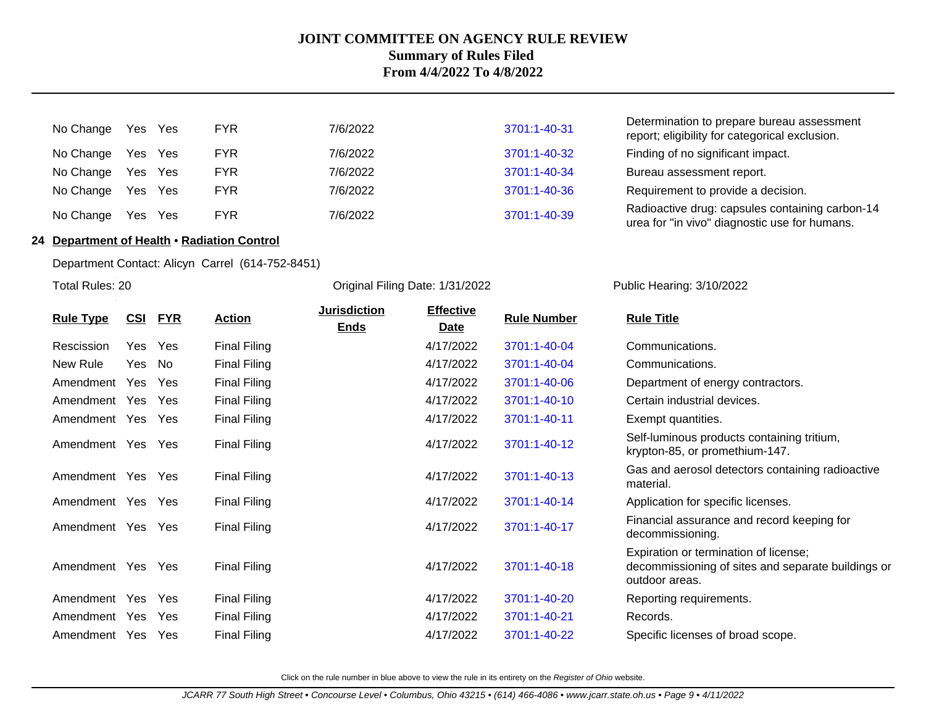| No Change         | Yes Yes | <b>FYR</b> | 7/6/2022 | 3701:1-40-31 | Determination to prepare bureau assessment<br>report; eligibility for categorical exclusion.     |
|-------------------|---------|------------|----------|--------------|--------------------------------------------------------------------------------------------------|
| No Change Yes Yes |         | <b>FYR</b> | 7/6/2022 | 3701:1-40-32 | Finding of no significant impact.                                                                |
| No Change         | Yes Yes | <b>FYR</b> | 7/6/2022 | 3701:1-40-34 | Bureau assessment report.                                                                        |
| No Change         | Yes Yes | <b>FYR</b> | 7/6/2022 | 3701:1-40-36 | Requirement to provide a decision.                                                               |
| No Change         | Yes Yes | <b>FYR</b> | 7/6/2022 | 3701:1-40-39 | Radioactive drug: capsules containing carbon-14<br>urea for "in vivo" diagnostic use for humans. |

### **24 Department of Health** • **Radiation Control**

Department Contact: Alicyn Carrel (614-752-8451)

Total Rules: 20

Original Filing Date: 1/31/2022 Public Hearing: 3/10/2022

|                  |            |            |                     | <b>Jurisdiction</b> | <b>Effective</b> |                    |                                                                                                               |
|------------------|------------|------------|---------------------|---------------------|------------------|--------------------|---------------------------------------------------------------------------------------------------------------|
| <b>Rule Type</b> | <u>CSI</u> | <b>FYR</b> | <b>Action</b>       | <b>Ends</b>         | <b>Date</b>      | <b>Rule Number</b> | <b>Rule Title</b>                                                                                             |
| Rescission       | Yes        | Yes        | <b>Final Filing</b> |                     | 4/17/2022        | 3701:1-40-04       | Communications.                                                                                               |
| New Rule         | Yes        | No         | <b>Final Filing</b> |                     | 4/17/2022        | 3701:1-40-04       | Communications.                                                                                               |
| Amendment        | Yes        | <b>Yes</b> | <b>Final Filing</b> |                     | 4/17/2022        | 3701:1-40-06       | Department of energy contractors.                                                                             |
| Amendment        | Yes        | <b>Yes</b> | <b>Final Filing</b> |                     | 4/17/2022        | 3701:1-40-10       | Certain industrial devices.                                                                                   |
| Amendment        | Yes        | <b>Yes</b> | <b>Final Filing</b> |                     | 4/17/2022        | 3701:1-40-11       | Exempt quantities.                                                                                            |
| Amendment        | Yes        | Yes        | <b>Final Filing</b> |                     | 4/17/2022        | 3701:1-40-12       | Self-luminous products containing tritium,<br>krypton-85, or promethium-147.                                  |
| Amendment Yes    |            | <b>Yes</b> | <b>Final Filing</b> |                     | 4/17/2022        | 3701:1-40-13       | Gas and aerosol detectors containing radioactive<br>material.                                                 |
| Amendment        | Yes        | <b>Yes</b> | <b>Final Filing</b> |                     | 4/17/2022        | 3701:1-40-14       | Application for specific licenses.                                                                            |
| Amendment        | Yes        | <b>Yes</b> | <b>Final Filing</b> |                     | 4/17/2022        | 3701:1-40-17       | Financial assurance and record keeping for<br>decommissioning.                                                |
| Amendment        | Yes        | Yes        | <b>Final Filing</b> |                     | 4/17/2022        | 3701:1-40-18       | Expiration or termination of license;<br>decommissioning of sites and separate buildings or<br>outdoor areas. |
| Amendment        | Yes        | Yes        | <b>Final Filing</b> |                     | 4/17/2022        | 3701:1-40-20       | Reporting requirements.                                                                                       |
| Amendment        | Yes        | Yes        | Final Filing        |                     | 4/17/2022        | 3701:1-40-21       | Records.                                                                                                      |
| Amendment        | Yes.       | Yes        | <b>Final Filing</b> |                     | 4/17/2022        | 3701:1-40-22       | Specific licenses of broad scope.                                                                             |
|                  |            |            |                     |                     |                  |                    |                                                                                                               |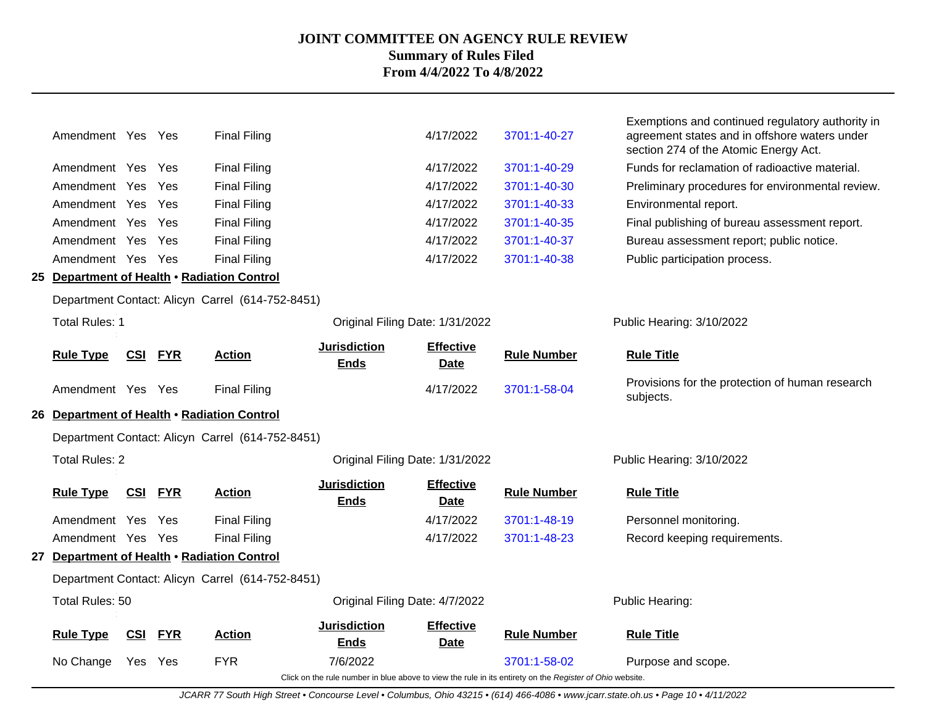| Amendment Yes Yes                           |            |            | <b>Final Filing</b>                              |                                    | 4/17/2022                       | 3701:1-40-27                                                                                             | Exemptions and continued regulatory authority in<br>agreement states and in offshore waters under<br>section 274 of the Atomic Energy Act. |
|---------------------------------------------|------------|------------|--------------------------------------------------|------------------------------------|---------------------------------|----------------------------------------------------------------------------------------------------------|--------------------------------------------------------------------------------------------------------------------------------------------|
| Amendment Yes Yes                           |            |            | <b>Final Filing</b>                              |                                    | 4/17/2022                       | 3701:1-40-29                                                                                             | Funds for reclamation of radioactive material.                                                                                             |
| Amendment Yes                               |            | Yes        | <b>Final Filing</b>                              |                                    | 4/17/2022                       | 3701:1-40-30                                                                                             | Preliminary procedures for environmental review.                                                                                           |
| Amendment Yes                               |            | Yes        | <b>Final Filing</b>                              |                                    | 4/17/2022                       | 3701:1-40-33                                                                                             | Environmental report.                                                                                                                      |
| Amendment Yes                               |            | Yes        | <b>Final Filing</b>                              |                                    | 4/17/2022                       | 3701:1-40-35                                                                                             | Final publishing of bureau assessment report.                                                                                              |
| Amendment Yes Yes                           |            |            | <b>Final Filing</b>                              |                                    | 4/17/2022                       | 3701:1-40-37                                                                                             | Bureau assessment report; public notice.                                                                                                   |
| Amendment Yes Yes                           |            |            | <b>Final Filing</b>                              |                                    | 4/17/2022                       | 3701:1-40-38                                                                                             | Public participation process.                                                                                                              |
| 25 Department of Health . Radiation Control |            |            |                                                  |                                    |                                 |                                                                                                          |                                                                                                                                            |
|                                             |            |            | Department Contact: Alicyn Carrel (614-752-8451) |                                    |                                 |                                                                                                          |                                                                                                                                            |
| <b>Total Rules: 1</b>                       |            |            |                                                  | Original Filing Date: 1/31/2022    |                                 |                                                                                                          | Public Hearing: 3/10/2022                                                                                                                  |
| <b>Rule Type</b>                            | CSI        | <b>FYR</b> | <b>Action</b>                                    | <b>Jurisdiction</b><br><b>Ends</b> | <b>Effective</b><br><b>Date</b> | <b>Rule Number</b>                                                                                       | <b>Rule Title</b>                                                                                                                          |
| Amendment Yes Yes                           |            |            | <b>Final Filing</b>                              |                                    | 4/17/2022                       | 3701:1-58-04                                                                                             | Provisions for the protection of human research<br>subjects.                                                                               |
| 26 Department of Health . Radiation Control |            |            |                                                  |                                    |                                 |                                                                                                          |                                                                                                                                            |
|                                             |            |            | Department Contact: Alicyn Carrel (614-752-8451) |                                    |                                 |                                                                                                          |                                                                                                                                            |
| <b>Total Rules: 2</b>                       |            |            |                                                  | Original Filing Date: 1/31/2022    |                                 |                                                                                                          | Public Hearing: 3/10/2022                                                                                                                  |
| <b>Rule Type</b>                            | <u>CSI</u> | <b>FYR</b> | <b>Action</b>                                    | <b>Jurisdiction</b><br><b>Ends</b> | <b>Effective</b><br><b>Date</b> | <b>Rule Number</b>                                                                                       | <b>Rule Title</b>                                                                                                                          |
| Amendment Yes                               |            | Yes        | <b>Final Filing</b>                              |                                    | 4/17/2022                       | 3701:1-48-19                                                                                             | Personnel monitoring.                                                                                                                      |
| Amendment Yes Yes                           |            |            | <b>Final Filing</b>                              |                                    | 4/17/2022                       | 3701:1-48-23                                                                                             | Record keeping requirements.                                                                                                               |
| 27 Department of Health . Radiation Control |            |            |                                                  |                                    |                                 |                                                                                                          |                                                                                                                                            |
|                                             |            |            | Department Contact: Alicyn Carrel (614-752-8451) |                                    |                                 |                                                                                                          |                                                                                                                                            |
| Total Rules: 50                             |            |            |                                                  | Original Filing Date: 4/7/2022     |                                 |                                                                                                          | Public Hearing:                                                                                                                            |
| <b>Rule Type</b>                            | CSI        | <b>FYR</b> | <b>Action</b>                                    | <b>Jurisdiction</b><br><b>Ends</b> | <b>Effective</b><br><b>Date</b> | <b>Rule Number</b>                                                                                       | <b>Rule Title</b>                                                                                                                          |
| No Change                                   | Yes Yes    |            | <b>FYR</b>                                       | 7/6/2022                           |                                 | 3701:1-58-02                                                                                             | Purpose and scope.                                                                                                                         |
|                                             |            |            |                                                  |                                    |                                 | Click on the rule number in blue above to view the rule in its entirety on the Register of Ohio website. |                                                                                                                                            |

JCARR 77 South High Street • Concourse Level • Columbus, Ohio 43215 • (614) 466-4086 • www.jcarr.state.oh.us • Page 10 • 4/11/2022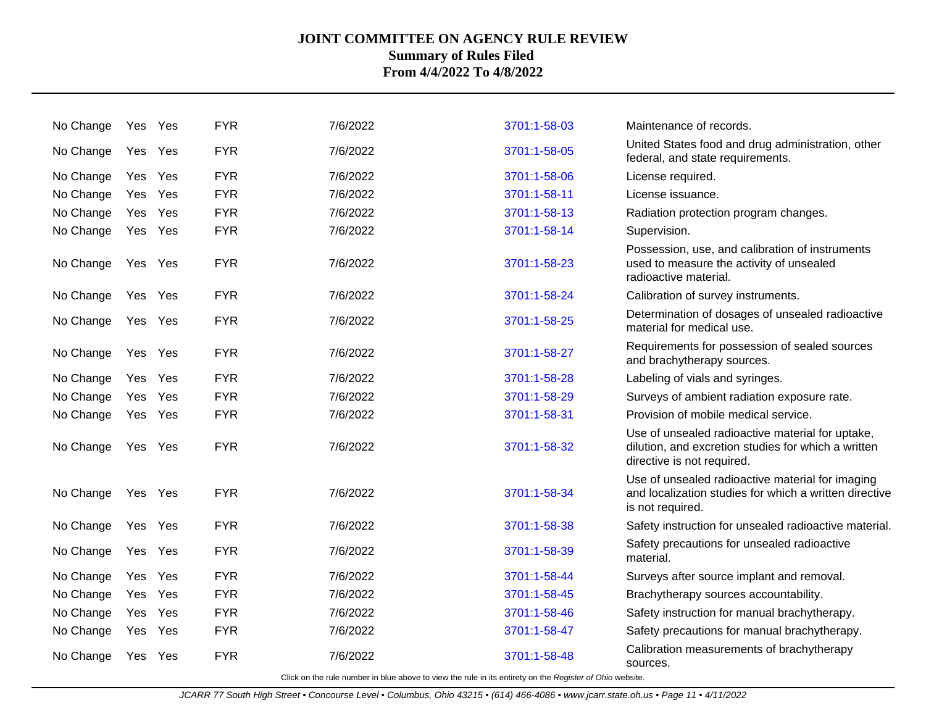| No Change | Yes | Yes     | <b>FYR</b> | 7/6/2022 | 3701:1-58-03 | Maintenance of records.                                                                                                               |
|-----------|-----|---------|------------|----------|--------------|---------------------------------------------------------------------------------------------------------------------------------------|
| No Change |     | Yes Yes | <b>FYR</b> | 7/6/2022 | 3701:1-58-05 | United States food and drug administration, other<br>federal, and state requirements.                                                 |
| No Change |     | Yes Yes | <b>FYR</b> | 7/6/2022 | 3701:1-58-06 | License required.                                                                                                                     |
| No Change | Yes | Yes     | <b>FYR</b> | 7/6/2022 | 3701:1-58-11 | License issuance.                                                                                                                     |
| No Change |     | Yes Yes | <b>FYR</b> | 7/6/2022 | 3701:1-58-13 | Radiation protection program changes.                                                                                                 |
| No Change | Yes | Yes     | <b>FYR</b> | 7/6/2022 | 3701:1-58-14 | Supervision.                                                                                                                          |
| No Change |     | Yes Yes | <b>FYR</b> | 7/6/2022 | 3701:1-58-23 | Possession, use, and calibration of instruments<br>used to measure the activity of unsealed<br>radioactive material.                  |
| No Change | Yes | Yes     | <b>FYR</b> | 7/6/2022 | 3701:1-58-24 | Calibration of survey instruments.                                                                                                    |
| No Change |     | Yes Yes | <b>FYR</b> | 7/6/2022 | 3701:1-58-25 | Determination of dosages of unsealed radioactive<br>material for medical use.                                                         |
| No Change | Yes | Yes     | <b>FYR</b> | 7/6/2022 | 3701:1-58-27 | Requirements for possession of sealed sources<br>and brachytherapy sources.                                                           |
| No Change | Yes | Yes     | <b>FYR</b> | 7/6/2022 | 3701:1-58-28 | Labeling of vials and syringes.                                                                                                       |
| No Change | Yes | Yes     | <b>FYR</b> | 7/6/2022 | 3701:1-58-29 | Surveys of ambient radiation exposure rate.                                                                                           |
| No Change |     | Yes Yes | <b>FYR</b> | 7/6/2022 | 3701:1-58-31 | Provision of mobile medical service.                                                                                                  |
| No Change | Yes | Yes     | <b>FYR</b> | 7/6/2022 | 3701:1-58-32 | Use of unsealed radioactive material for uptake,<br>dilution, and excretion studies for which a written<br>directive is not required. |
| No Change | Yes | Yes     | <b>FYR</b> | 7/6/2022 | 3701:1-58-34 | Use of unsealed radioactive material for imaging<br>and localization studies for which a written directive<br>is not required.        |
| No Change | Yes | Yes     | <b>FYR</b> | 7/6/2022 | 3701:1-58-38 | Safety instruction for unsealed radioactive material.                                                                                 |
| No Change |     | Yes Yes | <b>FYR</b> | 7/6/2022 | 3701:1-58-39 | Safety precautions for unsealed radioactive<br>material.                                                                              |
| No Change | Yes | Yes     | <b>FYR</b> | 7/6/2022 | 3701:1-58-44 | Surveys after source implant and removal.                                                                                             |
| No Change |     | Yes Yes | <b>FYR</b> | 7/6/2022 | 3701:1-58-45 | Brachytherapy sources accountability.                                                                                                 |
| No Change |     | Yes Yes | <b>FYR</b> | 7/6/2022 | 3701:1-58-46 | Safety instruction for manual brachytherapy.                                                                                          |
| No Change | Yes | Yes     | <b>FYR</b> | 7/6/2022 | 3701:1-58-47 | Safety precautions for manual brachytherapy.                                                                                          |
| No Change | Yes | Yes     | <b>FYR</b> | 7/6/2022 | 3701:1-58-48 | Calibration measurements of brachytherapy<br>sources.                                                                                 |
|           |     |         |            |          |              |                                                                                                                                       |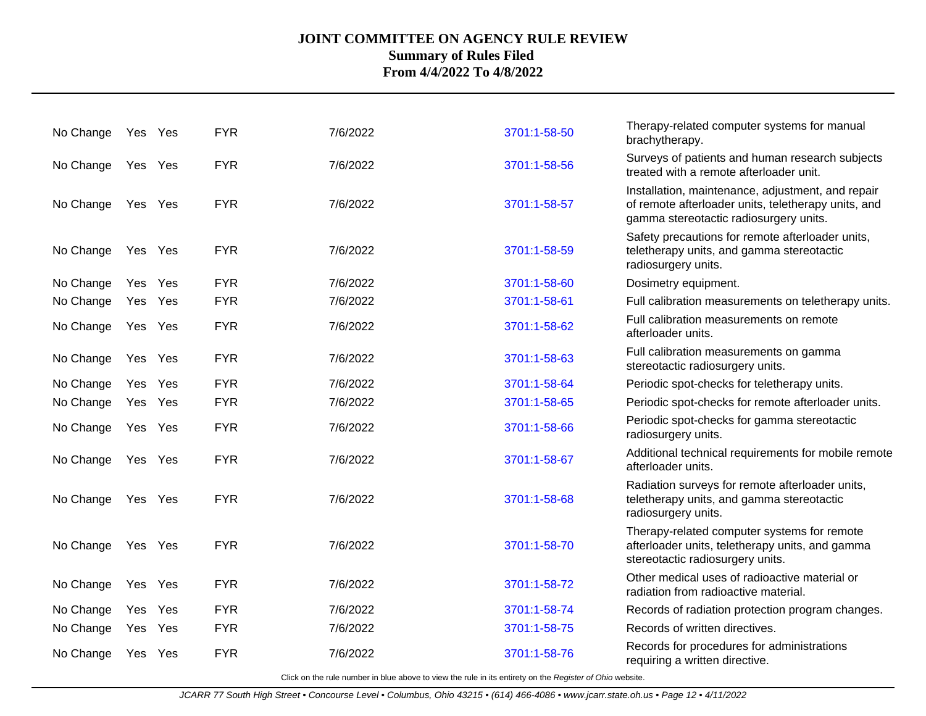| No Change | Yes Yes |         | <b>FYR</b> | 7/6/2022 | 3701:1-58-50 | Therapy-related computer systems for manual<br>brachytherapy.                                                                                      |
|-----------|---------|---------|------------|----------|--------------|----------------------------------------------------------------------------------------------------------------------------------------------------|
| No Change |         | Yes Yes | <b>FYR</b> | 7/6/2022 | 3701:1-58-56 | Surveys of patients and human research subjects<br>treated with a remote afterloader unit.                                                         |
| No Change |         | Yes Yes | <b>FYR</b> | 7/6/2022 | 3701:1-58-57 | Installation, maintenance, adjustment, and repair<br>of remote afterloader units, teletherapy units, and<br>gamma stereotactic radiosurgery units. |
| No Change |         | Yes Yes | <b>FYR</b> | 7/6/2022 | 3701:1-58-59 | Safety precautions for remote afterloader units,<br>teletherapy units, and gamma stereotactic<br>radiosurgery units.                               |
| No Change |         | Yes Yes | <b>FYR</b> | 7/6/2022 | 3701:1-58-60 | Dosimetry equipment.                                                                                                                               |
| No Change |         | Yes Yes | <b>FYR</b> | 7/6/2022 | 3701:1-58-61 | Full calibration measurements on teletherapy units.                                                                                                |
| No Change |         | Yes Yes | <b>FYR</b> | 7/6/2022 | 3701:1-58-62 | Full calibration measurements on remote<br>afterloader units.                                                                                      |
| No Change |         | Yes Yes | <b>FYR</b> | 7/6/2022 | 3701:1-58-63 | Full calibration measurements on gamma<br>stereotactic radiosurgery units.                                                                         |
| No Change |         | Yes Yes | <b>FYR</b> | 7/6/2022 | 3701:1-58-64 | Periodic spot-checks for teletherapy units.                                                                                                        |
| No Change |         | Yes Yes | <b>FYR</b> | 7/6/2022 | 3701:1-58-65 | Periodic spot-checks for remote afterloader units.                                                                                                 |
| No Change |         | Yes Yes | <b>FYR</b> | 7/6/2022 | 3701:1-58-66 | Periodic spot-checks for gamma stereotactic<br>radiosurgery units.                                                                                 |
| No Change |         | Yes Yes | <b>FYR</b> | 7/6/2022 | 3701:1-58-67 | Additional technical requirements for mobile remote<br>afterloader units.                                                                          |
| No Change | Yes Yes |         | <b>FYR</b> | 7/6/2022 | 3701:1-58-68 | Radiation surveys for remote afterloader units,<br>teletherapy units, and gamma stereotactic<br>radiosurgery units.                                |
| No Change |         | Yes Yes | <b>FYR</b> | 7/6/2022 | 3701:1-58-70 | Therapy-related computer systems for remote<br>afterloader units, teletherapy units, and gamma<br>stereotactic radiosurgery units.                 |
| No Change |         | Yes Yes | <b>FYR</b> | 7/6/2022 | 3701:1-58-72 | Other medical uses of radioactive material or<br>radiation from radioactive material.                                                              |
| No Change |         | Yes Yes | <b>FYR</b> | 7/6/2022 | 3701:1-58-74 | Records of radiation protection program changes.                                                                                                   |
| No Change |         | Yes Yes | <b>FYR</b> | 7/6/2022 | 3701:1-58-75 | Records of written directives.                                                                                                                     |
| No Change |         | Yes Yes | <b>FYR</b> | 7/6/2022 | 3701:1-58-76 | Records for procedures for administrations<br>requiring a written directive.                                                                       |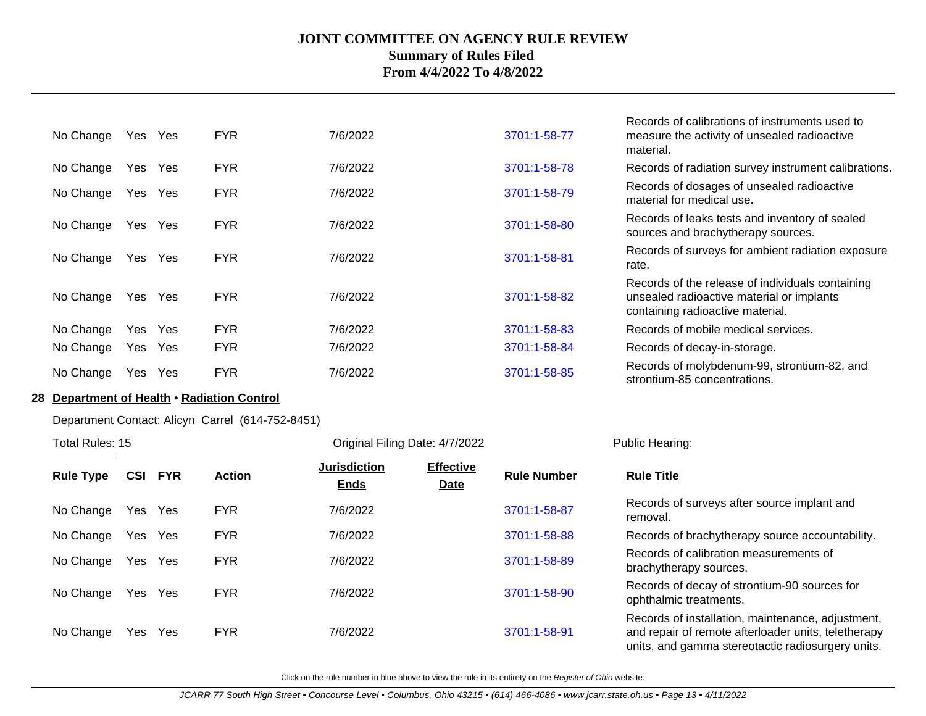| No Change | Yes | <b>Yes</b> | <b>FYR</b> | 7/6/2022 | 3701:1-58-77 | Records of calibrations of instruments used to<br>measure the activity of unsealed radioactive<br>material.                       |
|-----------|-----|------------|------------|----------|--------------|-----------------------------------------------------------------------------------------------------------------------------------|
| No Change | Yes | Yes        | <b>FYR</b> | 7/6/2022 | 3701:1-58-78 | Records of radiation survey instrument calibrations.                                                                              |
| No Change | Yes | Yes        | <b>FYR</b> | 7/6/2022 | 3701:1-58-79 | Records of dosages of unsealed radioactive<br>material for medical use.                                                           |
| No Change | Yes | Yes        | <b>FYR</b> | 7/6/2022 | 3701:1-58-80 | Records of leaks tests and inventory of sealed<br>sources and brachytherapy sources.                                              |
| No Change | Yes | Yes        | <b>FYR</b> | 7/6/2022 | 3701:1-58-81 | Records of surveys for ambient radiation exposure<br>rate.                                                                        |
| No Change | Yes | Yes        | <b>FYR</b> | 7/6/2022 | 3701:1-58-82 | Records of the release of individuals containing<br>unsealed radioactive material or implants<br>containing radioactive material. |
| No Change | Yes | Yes        | <b>FYR</b> | 7/6/2022 | 3701:1-58-83 | Records of mobile medical services.                                                                                               |
| No Change | Yes | Yes        | <b>FYR</b> | 7/6/2022 | 3701:1-58-84 | Records of decay-in-storage.                                                                                                      |
| No Change | Yes | Yes        | <b>FYR</b> | 7/6/2022 | 3701:1-58-85 | Records of molybdenum-99, strontium-82, and<br>strontium-85 concentrations.                                                       |

### **28 Department of Health** • **Radiation Control**

Department Contact: Alicyn Carrel (614-752-8451)

Total Rules: 15

Original Filing Date: 4/7/2022 Public Hearing:

| <b>Rule Type</b> | <u>CSI</u> | <u>FYR</u> | <b>Action</b> | <b>Jurisdiction</b><br><b>Ends</b> | <b>Effective</b><br><b>Date</b> | <b>Rule Number</b> | <b>Rule Title</b>                                                                                                                                             |
|------------------|------------|------------|---------------|------------------------------------|---------------------------------|--------------------|---------------------------------------------------------------------------------------------------------------------------------------------------------------|
| No Change        | Yes        | Yes        | <b>FYR</b>    | 7/6/2022                           |                                 | 3701:1-58-87       | Records of surveys after source implant and<br>removal.                                                                                                       |
| No Change        | Yes        | Yes        | <b>FYR</b>    | 7/6/2022                           |                                 | 3701:1-58-88       | Records of brachytherapy source accountability.                                                                                                               |
| No Change        | Yes        | Yes        | <b>FYR</b>    | 7/6/2022                           |                                 | 3701:1-58-89       | Records of calibration measurements of<br>brachytherapy sources.                                                                                              |
| No Change        |            | Yes Yes    | <b>FYR</b>    | 7/6/2022                           |                                 | 3701:1-58-90       | Records of decay of strontium-90 sources for<br>ophthalmic treatments.                                                                                        |
| No Change        | Yes        | Yes        | <b>FYR</b>    | 7/6/2022                           |                                 | 3701:1-58-91       | Records of installation, maintenance, adjustment,<br>and repair of remote afterloader units, teletherapy<br>units, and gamma stereotactic radiosurgery units. |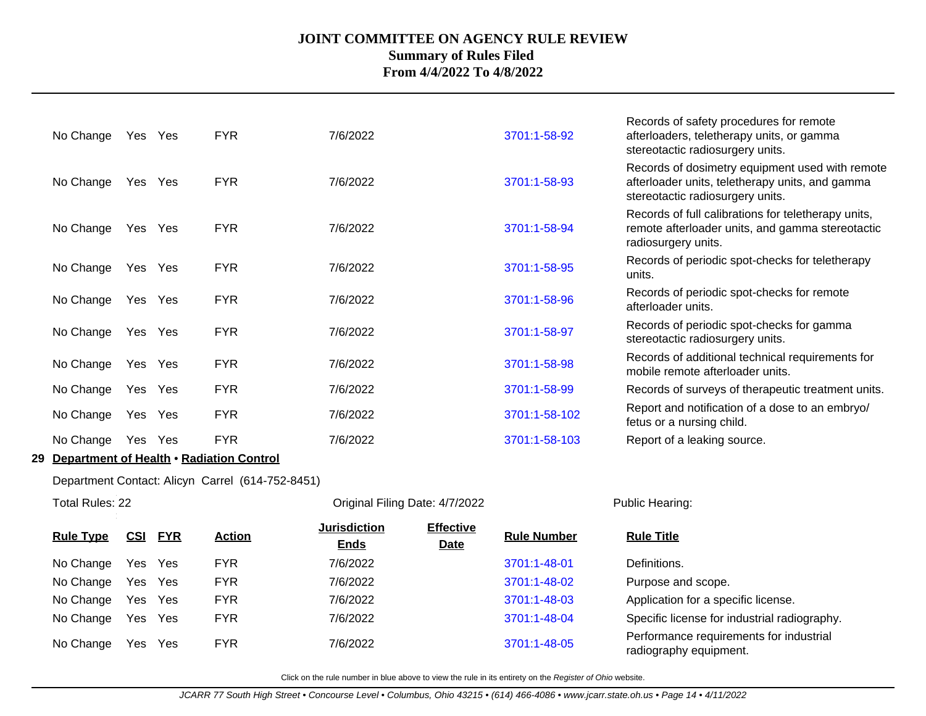| No Change | Yes  | Yes        | <b>FYR</b> | 7/6/2022 | 3701:1-58-92  | Records of safety procedures for remote<br>afterloaders, teletherapy units, or gamma<br>stereotactic radiosurgery units.               |
|-----------|------|------------|------------|----------|---------------|----------------------------------------------------------------------------------------------------------------------------------------|
| No Change | Yes  | Yes        | <b>FYR</b> | 7/6/2022 | 3701:1-58-93  | Records of dosimetry equipment used with remote<br>afterloader units, teletherapy units, and gamma<br>stereotactic radiosurgery units. |
| No Change | Yes  | Yes        | <b>FYR</b> | 7/6/2022 | 3701:1-58-94  | Records of full calibrations for teletherapy units,<br>remote afterloader units, and gamma stereotactic<br>radiosurgery units.         |
| No Change | Yes  | Yes        | <b>FYR</b> | 7/6/2022 | 3701:1-58-95  | Records of periodic spot-checks for teletherapy<br>units.                                                                              |
| No Change | Yes  | Yes        | <b>FYR</b> | 7/6/2022 | 3701:1-58-96  | Records of periodic spot-checks for remote<br>afterloader units.                                                                       |
| No Change | Yes  | Yes        | <b>FYR</b> | 7/6/2022 | 3701:1-58-97  | Records of periodic spot-checks for gamma<br>stereotactic radiosurgery units.                                                          |
| No Change | Yes  | Yes        | <b>FYR</b> | 7/6/2022 | 3701:1-58-98  | Records of additional technical requirements for<br>mobile remote afterloader units.                                                   |
| No Change | Yes  | Yes        | <b>FYR</b> | 7/6/2022 | 3701:1-58-99  | Records of surveys of therapeutic treatment units.                                                                                     |
| No Change | Yes  | <b>Yes</b> | <b>FYR</b> | 7/6/2022 | 3701:1-58-102 | Report and notification of a dose to an embryo/<br>fetus or a nursing child.                                                           |
| No Change | Yes. | <b>Yes</b> | <b>FYR</b> | 7/6/2022 | 3701:1-58-103 | Report of a leaking source.                                                                                                            |

### **29 Department of Health** • **Radiation Control**

Department Contact: Alicyn Carrel (614-752-8451)

| Total Rules: 22  |            |            |               | Original Filing Date: 4/7/2022     |                                 |                    | Public Hearing:                                                   |  |
|------------------|------------|------------|---------------|------------------------------------|---------------------------------|--------------------|-------------------------------------------------------------------|--|
| <b>Rule Type</b> | <u>CSI</u> | <b>FYR</b> | <b>Action</b> | <b>Jurisdiction</b><br><b>Ends</b> | <b>Effective</b><br><b>Date</b> | <b>Rule Number</b> | <b>Rule Title</b>                                                 |  |
| No Change        |            | Yes Yes    | <b>FYR</b>    | 7/6/2022                           |                                 | 3701:1-48-01       | Definitions.                                                      |  |
| No Change        |            | Yes Yes    | <b>FYR</b>    | 7/6/2022                           |                                 | 3701:1-48-02       | Purpose and scope.                                                |  |
| No Change        |            | Yes Yes    | <b>FYR</b>    | 7/6/2022                           |                                 | 3701:1-48-03       | Application for a specific license.                               |  |
| No Change        |            | Yes Yes    | <b>FYR</b>    | 7/6/2022                           |                                 | 3701:1-48-04       | Specific license for industrial radiography.                      |  |
| No Change        |            | Yes Yes    | <b>FYR</b>    | 7/6/2022                           |                                 | 3701:1-48-05       | Performance requirements for industrial<br>radiography equipment. |  |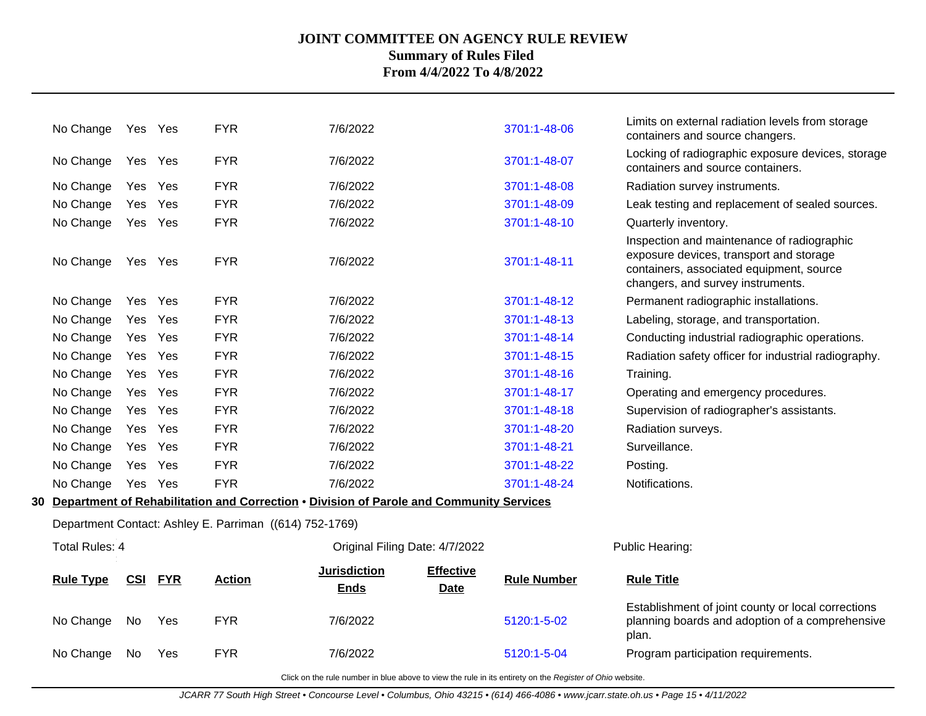| No Change             |     | Yes Yes    | <b>FYR</b>                                                                                 | 7/6/2022                           |                                 | 3701:1-48-06       | Limits on external radiation levels from storage<br>containers and source changers.                                                                                    |
|-----------------------|-----|------------|--------------------------------------------------------------------------------------------|------------------------------------|---------------------------------|--------------------|------------------------------------------------------------------------------------------------------------------------------------------------------------------------|
| No Change             |     | Yes Yes    | <b>FYR</b>                                                                                 | 7/6/2022                           |                                 | 3701:1-48-07       | Locking of radiographic exposure devices, storage<br>containers and source containers.                                                                                 |
| No Change             | Yes | Yes        | <b>FYR</b>                                                                                 | 7/6/2022                           |                                 | 3701:1-48-08       | Radiation survey instruments.                                                                                                                                          |
| No Change             | Yes | Yes        | <b>FYR</b>                                                                                 | 7/6/2022                           |                                 | 3701:1-48-09       | Leak testing and replacement of sealed sources.                                                                                                                        |
| No Change             | Yes | Yes        | <b>FYR</b>                                                                                 | 7/6/2022                           |                                 | 3701:1-48-10       | Quarterly inventory.                                                                                                                                                   |
| No Change             |     | Yes Yes    | <b>FYR</b>                                                                                 | 7/6/2022                           |                                 | 3701:1-48-11       | Inspection and maintenance of radiographic<br>exposure devices, transport and storage<br>containers, associated equipment, source<br>changers, and survey instruments. |
| No Change             | Yes | Yes        | <b>FYR</b>                                                                                 | 7/6/2022                           |                                 | 3701:1-48-12       | Permanent radiographic installations.                                                                                                                                  |
| No Change             | Yes | Yes        | <b>FYR</b>                                                                                 | 7/6/2022                           |                                 | 3701:1-48-13       | Labeling, storage, and transportation.                                                                                                                                 |
| No Change             |     | Yes Yes    | <b>FYR</b>                                                                                 | 7/6/2022                           |                                 | 3701:1-48-14       | Conducting industrial radiographic operations.                                                                                                                         |
| No Change             | Yes | Yes        | <b>FYR</b>                                                                                 | 7/6/2022                           |                                 | 3701:1-48-15       | Radiation safety officer for industrial radiography.                                                                                                                   |
| No Change             |     | Yes Yes    | <b>FYR</b>                                                                                 | 7/6/2022                           |                                 | 3701:1-48-16       | Training.                                                                                                                                                              |
| No Change             |     | Yes Yes    | <b>FYR</b>                                                                                 | 7/6/2022                           |                                 | 3701:1-48-17       | Operating and emergency procedures.                                                                                                                                    |
| No Change             |     | Yes Yes    | <b>FYR</b>                                                                                 | 7/6/2022                           |                                 | 3701:1-48-18       | Supervision of radiographer's assistants.                                                                                                                              |
| No Change             | Yes | Yes        | <b>FYR</b>                                                                                 | 7/6/2022                           |                                 | 3701:1-48-20       | Radiation surveys.                                                                                                                                                     |
| No Change             |     | Yes Yes    | <b>FYR</b>                                                                                 | 7/6/2022                           |                                 | 3701:1-48-21       | Surveillance.                                                                                                                                                          |
| No Change             |     | Yes Yes    | <b>FYR</b>                                                                                 | 7/6/2022                           |                                 | 3701:1-48-22       | Posting.                                                                                                                                                               |
| No Change             |     | Yes Yes    | <b>FYR</b>                                                                                 | 7/6/2022                           |                                 | 3701:1-48-24       | Notifications.                                                                                                                                                         |
|                       |     |            | 30 Department of Rehabilitation and Correction . Division of Parole and Community Services |                                    |                                 |                    |                                                                                                                                                                        |
|                       |     |            | Department Contact: Ashley E. Parriman ((614) 752-1769)                                    |                                    |                                 |                    |                                                                                                                                                                        |
| <b>Total Rules: 4</b> |     |            |                                                                                            | Original Filing Date: 4/7/2022     |                                 |                    | Public Hearing:                                                                                                                                                        |
| <b>Rule Type</b>      | CSI | <b>FYR</b> | <b>Action</b>                                                                              | <b>Jurisdiction</b><br><b>Ends</b> | <b>Effective</b><br><b>Date</b> | <b>Rule Number</b> | <b>Rule Title</b>                                                                                                                                                      |
| No Change             | No  | Yes        | <b>FYR</b>                                                                                 | 7/6/2022                           |                                 | 5120:1-5-02        | Establishment of joint county or local corrections<br>planning boards and adoption of a comprehensive<br>plan.                                                         |
| No Change             | No. | Yes        | <b>FYR</b>                                                                                 | 7/6/2022                           |                                 | 5120:1-5-04        | Program participation requirements.                                                                                                                                    |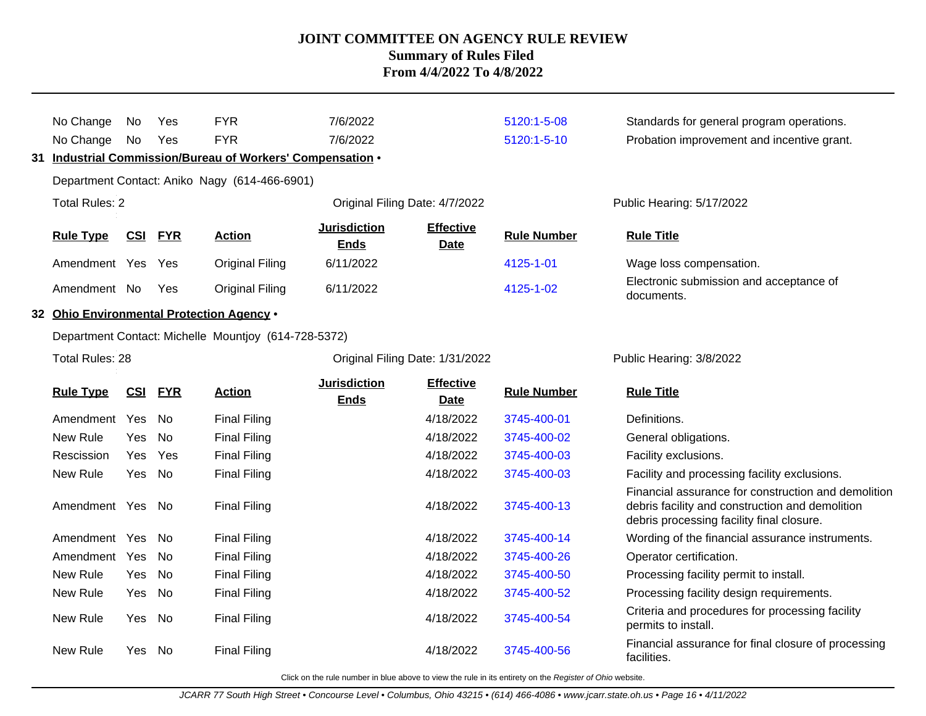|    | No Change                                 | No.    | Yes            | <b>FYR</b>                                              | 7/6/2022                           |                                 | 5120:1-5-08        | Standards for general program operations.                                                                                                           |
|----|-------------------------------------------|--------|----------------|---------------------------------------------------------|------------------------------------|---------------------------------|--------------------|-----------------------------------------------------------------------------------------------------------------------------------------------------|
|    | No Change                                 | No     | Yes            | <b>FYR</b>                                              | 7/6/2022                           |                                 | 5120:1-5-10        | Probation improvement and incentive grant.                                                                                                          |
| 31 |                                           |        |                | Industrial Commission/Bureau of Workers' Compensation . |                                    |                                 |                    |                                                                                                                                                     |
|    |                                           |        |                | Department Contact: Aniko Nagy (614-466-6901)           |                                    |                                 |                    |                                                                                                                                                     |
|    | <b>Total Rules: 2</b>                     |        |                |                                                         | Original Filing Date: 4/7/2022     |                                 |                    | Public Hearing: 5/17/2022                                                                                                                           |
|    |                                           |        |                |                                                         |                                    |                                 |                    |                                                                                                                                                     |
|    | <b>Rule Type</b>                          | CSI    | <b>FYR</b>     | <b>Action</b>                                           | <b>Jurisdiction</b><br><b>Ends</b> | <b>Effective</b><br><b>Date</b> | <b>Rule Number</b> | <b>Rule Title</b>                                                                                                                                   |
|    | Amendment Yes                             |        | Yes            | <b>Original Filing</b>                                  | 6/11/2022                          |                                 | 4125-1-01          | Wage loss compensation.                                                                                                                             |
|    |                                           |        |                |                                                         |                                    |                                 |                    | Electronic submission and acceptance of                                                                                                             |
|    | Amendment No                              |        | Yes            | <b>Original Filing</b>                                  | 6/11/2022                          |                                 | 4125-1-02          | documents.                                                                                                                                          |
|    | 32 Ohio Environmental Protection Agency . |        |                |                                                         |                                    |                                 |                    |                                                                                                                                                     |
|    |                                           |        |                | Department Contact: Michelle Mountjoy (614-728-5372)    |                                    |                                 |                    |                                                                                                                                                     |
|    | <b>Total Rules: 28</b>                    |        |                |                                                         |                                    | Original Filing Date: 1/31/2022 |                    | Public Hearing: 3/8/2022                                                                                                                            |
|    |                                           |        |                |                                                         | <b>Jurisdiction</b>                | <b>Effective</b>                |                    |                                                                                                                                                     |
|    | <b>Rule Type</b>                          |        | <b>CSI FYR</b> | <b>Action</b>                                           | <b>Ends</b>                        | <b>Date</b>                     | <b>Rule Number</b> | <b>Rule Title</b>                                                                                                                                   |
|    | Amendment Yes                             |        | No.            | <b>Final Filing</b>                                     |                                    | 4/18/2022                       | 3745-400-01        | Definitions.                                                                                                                                        |
|    | New Rule                                  | Yes    | <b>No</b>      | <b>Final Filing</b>                                     |                                    | 4/18/2022                       | 3745-400-02        | General obligations.                                                                                                                                |
|    | Rescission                                | Yes    | Yes            | <b>Final Filing</b>                                     |                                    | 4/18/2022                       | 3745-400-03        | Facility exclusions.                                                                                                                                |
|    | New Rule                                  | Yes No |                | <b>Final Filing</b>                                     |                                    | 4/18/2022                       | 3745-400-03        | Facility and processing facility exclusions.                                                                                                        |
|    | Amendment Yes No                          |        |                | <b>Final Filing</b>                                     |                                    | 4/18/2022                       | 3745-400-13        | Financial assurance for construction and demolition<br>debris facility and construction and demolition<br>debris processing facility final closure. |
|    | Amendment Yes                             |        | No.            | <b>Final Filing</b>                                     |                                    | 4/18/2022                       | 3745-400-14        | Wording of the financial assurance instruments.                                                                                                     |
|    | Amendment Yes                             |        | No.            | <b>Final Filing</b>                                     |                                    | 4/18/2022                       | 3745-400-26        | Operator certification.                                                                                                                             |
|    | New Rule                                  | Yes    | No             | <b>Final Filing</b>                                     |                                    | 4/18/2022                       | 3745-400-50        | Processing facility permit to install.                                                                                                              |
|    | New Rule                                  | Yes    | No.            | <b>Final Filing</b>                                     |                                    | 4/18/2022                       | 3745-400-52        | Processing facility design requirements.                                                                                                            |
|    | New Rule                                  | Yes    | No             | <b>Final Filing</b>                                     |                                    | 4/18/2022                       | 3745-400-54        | Criteria and procedures for processing facility<br>permits to install.                                                                              |
|    | New Rule                                  | Yes    | No             | <b>Final Filing</b>                                     |                                    | 4/18/2022                       | 3745-400-56        | Financial assurance for final closure of processing<br>facilities.                                                                                  |
|    |                                           |        |                |                                                         |                                    |                                 |                    |                                                                                                                                                     |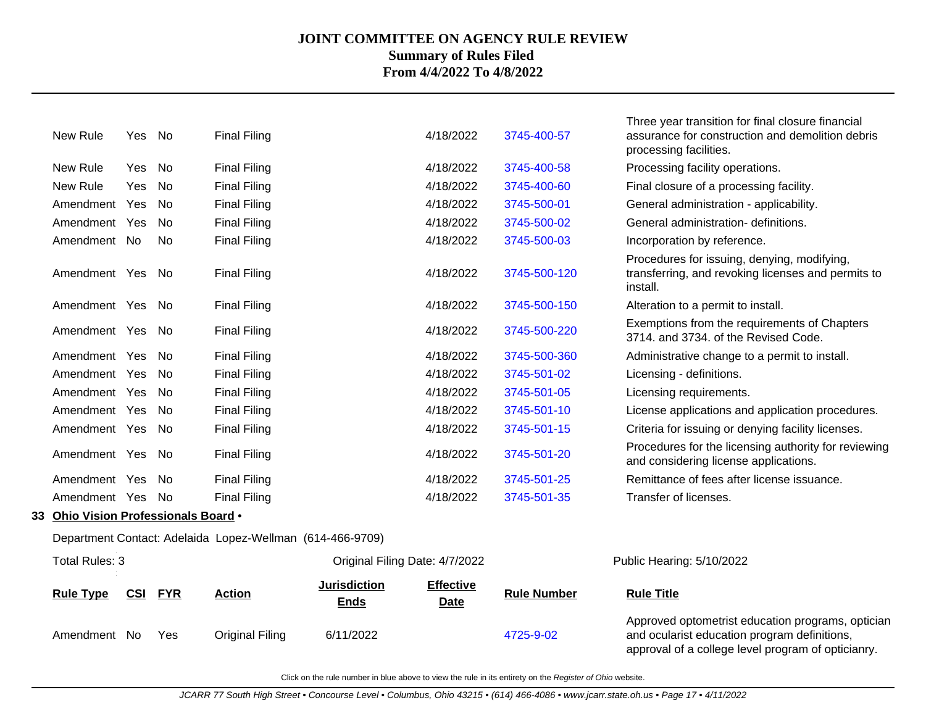|    | New Rule                          | Yes | No         | <b>Final Filing</b>                                       |                                    | 4/18/2022                       | 3745-400-57        | Three year transition for final closure financial<br>assurance for construction and demolition debris<br>processing facilities. |
|----|-----------------------------------|-----|------------|-----------------------------------------------------------|------------------------------------|---------------------------------|--------------------|---------------------------------------------------------------------------------------------------------------------------------|
|    | New Rule                          | Yes | No         | <b>Final Filing</b>                                       |                                    | 4/18/2022                       | 3745-400-58        | Processing facility operations.                                                                                                 |
|    | New Rule                          | Yes | <b>No</b>  | <b>Final Filing</b>                                       |                                    | 4/18/2022                       | 3745-400-60        | Final closure of a processing facility.                                                                                         |
|    | Amendment Yes                     |     | No         | <b>Final Filing</b>                                       |                                    | 4/18/2022                       | 3745-500-01        | General administration - applicability.                                                                                         |
|    | Amendment Yes                     |     | <b>No</b>  | <b>Final Filing</b>                                       |                                    | 4/18/2022                       | 3745-500-02        | General administration- definitions.                                                                                            |
|    | Amendment No                      |     | No         | <b>Final Filing</b>                                       |                                    | 4/18/2022                       | 3745-500-03        | Incorporation by reference.                                                                                                     |
|    | Amendment Yes                     |     | No         | <b>Final Filing</b>                                       |                                    | 4/18/2022                       | 3745-500-120       | Procedures for issuing, denying, modifying,<br>transferring, and revoking licenses and permits to<br>install.                   |
|    | Amendment Yes No                  |     |            | <b>Final Filing</b>                                       |                                    | 4/18/2022                       | 3745-500-150       | Alteration to a permit to install.                                                                                              |
|    | Amendment Yes                     |     | No         | <b>Final Filing</b>                                       |                                    | 4/18/2022                       | 3745-500-220       | Exemptions from the requirements of Chapters<br>3714. and 3734. of the Revised Code.                                            |
|    | Amendment Yes                     |     | No         | <b>Final Filing</b>                                       |                                    | 4/18/2022                       | 3745-500-360       | Administrative change to a permit to install.                                                                                   |
|    | Amendment Yes                     |     | No         | <b>Final Filing</b>                                       |                                    | 4/18/2022                       | 3745-501-02        | Licensing - definitions.                                                                                                        |
|    | Amendment Yes                     |     | <b>No</b>  | <b>Final Filing</b>                                       |                                    | 4/18/2022                       | 3745-501-05        | Licensing requirements.                                                                                                         |
|    | Amendment Yes                     |     | No         | <b>Final Filing</b>                                       |                                    | 4/18/2022                       | 3745-501-10        | License applications and application procedures.                                                                                |
|    | Amendment Yes                     |     | No         | <b>Final Filing</b>                                       |                                    | 4/18/2022                       | 3745-501-15        | Criteria for issuing or denying facility licenses.                                                                              |
|    | Amendment Yes                     |     | No.        | <b>Final Filing</b>                                       |                                    | 4/18/2022                       | 3745-501-20        | Procedures for the licensing authority for reviewing<br>and considering license applications.                                   |
|    | Amendment Yes                     |     | No         | <b>Final Filing</b>                                       |                                    | 4/18/2022                       | 3745-501-25        | Remittance of fees after license issuance.                                                                                      |
|    | Amendment Yes                     |     | No         | <b>Final Filing</b>                                       |                                    | 4/18/2022                       | 3745-501-35        | Transfer of licenses.                                                                                                           |
| 33 | Ohio Vision Professionals Board . |     |            |                                                           |                                    |                                 |                    |                                                                                                                                 |
|    |                                   |     |            | Department Contact: Adelaida Lopez-Wellman (614-466-9709) |                                    |                                 |                    |                                                                                                                                 |
|    | Total Rules: 3                    |     |            |                                                           |                                    | Original Filing Date: 4/7/2022  |                    | Public Hearing: 5/10/2022                                                                                                       |
|    | <b>Rule Type</b>                  | CSI | <b>FYR</b> | <b>Action</b>                                             | <b>Jurisdiction</b><br><b>Ends</b> | <b>Effective</b><br><b>Date</b> | <b>Rule Number</b> | <b>Rule Title</b>                                                                                                               |
|    | Amendment No                      |     | Yes        | <b>Original Filing</b>                                    | 6/11/2022                          |                                 | 4725-9-02          | Approved optometrist education programs, optician<br>and ocularist education program definitions,                               |

Click on the rule number in blue above to view the rule in its entirety on the Register of Ohio website.

approval of a college level program of opticianry.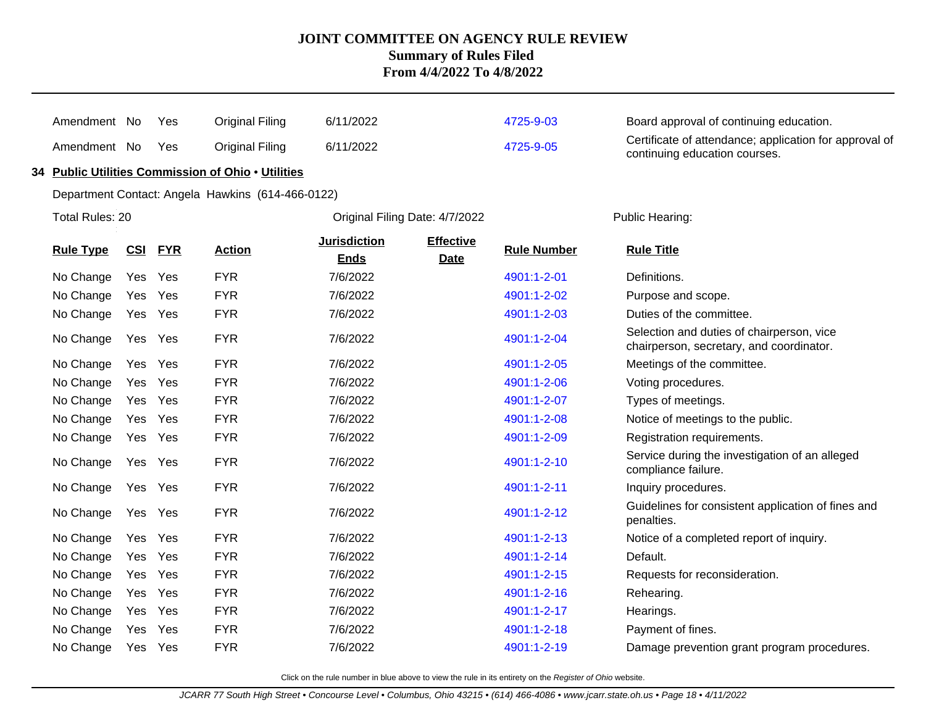| Amendment No     |            | Yes        | <b>Original Filing</b>                             | 6/11/2022                          |                          | 4725-9-03          | Board approval of continuing education.                                                 |  |  |
|------------------|------------|------------|----------------------------------------------------|------------------------------------|--------------------------|--------------------|-----------------------------------------------------------------------------------------|--|--|
| Amendment No     |            | Yes        | <b>Original Filing</b>                             | 6/11/2022                          |                          | 4725-9-05          | Certificate of attendance; application for approval of<br>continuing education courses. |  |  |
|                  |            |            | 34 Public Utilities Commission of Ohio . Utilities |                                    |                          |                    |                                                                                         |  |  |
|                  |            |            | Department Contact: Angela Hawkins (614-466-0122)  |                                    |                          |                    |                                                                                         |  |  |
| Total Rules: 20  |            |            |                                                    | Original Filing Date: 4/7/2022     |                          |                    | Public Hearing:                                                                         |  |  |
| <b>Rule Type</b> | <u>CSI</u> | <b>FYR</b> | <b>Action</b>                                      | <b>Jurisdiction</b><br><b>Ends</b> | <b>Effective</b><br>Date | <b>Rule Number</b> | <b>Rule Title</b>                                                                       |  |  |
| No Change        | Yes        | Yes        | <b>FYR</b>                                         | 7/6/2022                           |                          | 4901:1-2-01        | Definitions.                                                                            |  |  |
| No Change        | Yes        | Yes        | <b>FYR</b>                                         | 7/6/2022                           |                          | 4901:1-2-02        | Purpose and scope.                                                                      |  |  |
| No Change        | Yes Yes    |            | <b>FYR</b>                                         | 7/6/2022                           |                          | 4901:1-2-03        | Duties of the committee.                                                                |  |  |
| No Change        | Yes Yes    |            | <b>FYR</b>                                         | 7/6/2022                           |                          | 4901:1-2-04        | Selection and duties of chairperson, vice<br>chairperson, secretary, and coordinator.   |  |  |
| No Change        | Yes        | Yes        | <b>FYR</b>                                         | 7/6/2022                           |                          | 4901:1-2-05        | Meetings of the committee.                                                              |  |  |
| No Change        | Yes        | Yes        | <b>FYR</b>                                         | 7/6/2022                           |                          | 4901:1-2-06        | Voting procedures.                                                                      |  |  |
| No Change        | Yes Yes    |            | <b>FYR</b>                                         | 7/6/2022                           |                          | 4901:1-2-07        | Types of meetings.                                                                      |  |  |
| No Change        | Yes        | Yes        | <b>FYR</b>                                         | 7/6/2022                           |                          | 4901:1-2-08        | Notice of meetings to the public.                                                       |  |  |
| No Change        | Yes Yes    |            | <b>FYR</b>                                         | 7/6/2022                           |                          | 4901:1-2-09        | Registration requirements.                                                              |  |  |
| No Change        | Yes Yes    |            | <b>FYR</b>                                         | 7/6/2022                           |                          | 4901:1-2-10        | Service during the investigation of an alleged<br>compliance failure.                   |  |  |
| No Change        | Yes Yes    |            | <b>FYR</b>                                         | 7/6/2022                           |                          | 4901:1-2-11        | Inquiry procedures.                                                                     |  |  |
| No Change        | Yes Yes    |            | <b>FYR</b>                                         | 7/6/2022                           |                          | 4901:1-2-12        | Guidelines for consistent application of fines and<br>penalties.                        |  |  |
| No Change        | Yes Yes    |            | <b>FYR</b>                                         | 7/6/2022                           |                          | 4901:1-2-13        | Notice of a completed report of inquiry.                                                |  |  |
| No Change        | Yes Yes    |            | <b>FYR</b>                                         | 7/6/2022                           |                          | 4901:1-2-14        | Default.                                                                                |  |  |
| No Change        | Yes        | Yes        | <b>FYR</b>                                         | 7/6/2022                           |                          | 4901:1-2-15        | Requests for reconsideration.                                                           |  |  |
| No Change        | Yes Yes    |            | <b>FYR</b>                                         | 7/6/2022                           |                          | 4901:1-2-16        | Rehearing.                                                                              |  |  |
| No Change        | Yes        | Yes        | <b>FYR</b>                                         | 7/6/2022                           |                          | 4901:1-2-17        | Hearings.                                                                               |  |  |
| No Change        | Yes Yes    |            | <b>FYR</b>                                         | 7/6/2022                           |                          | 4901:1-2-18        | Payment of fines.                                                                       |  |  |
| No Change        | Yes Yes    |            | <b>FYR</b>                                         | 7/6/2022                           |                          | 4901:1-2-19        | Damage prevention grant program procedures.                                             |  |  |
|                  |            |            |                                                    |                                    |                          |                    |                                                                                         |  |  |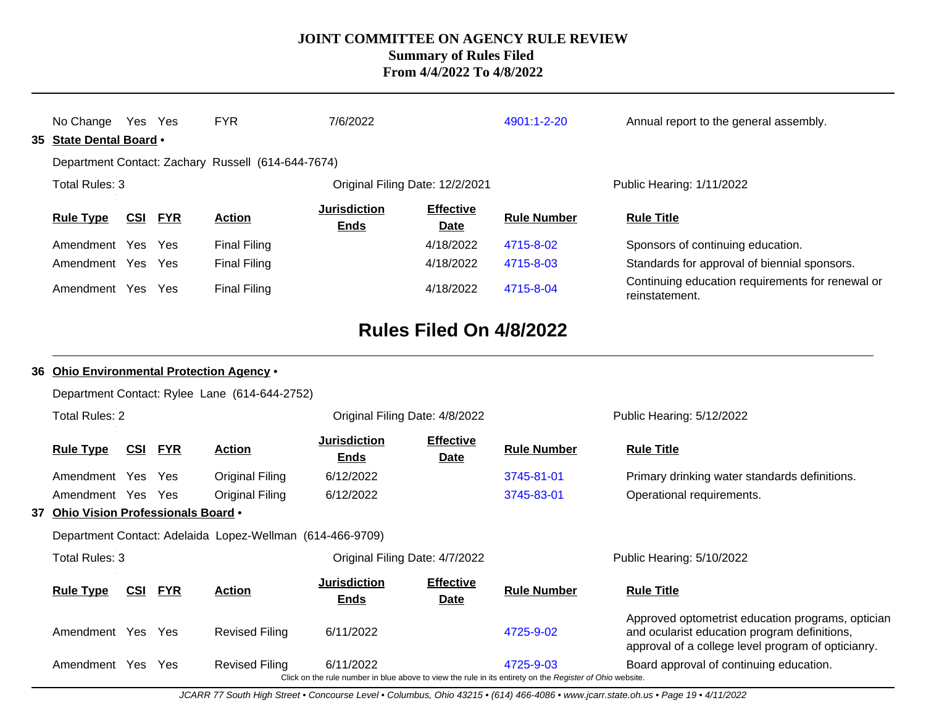| No Change Yes Yes<br>35 State Dental Board . |            |            | <b>FYR</b>                                                | 7/6/2022                           |                                 | 4901:1-2-20                                                                                                           | Annual report to the general assembly.                                                                                                                  |
|----------------------------------------------|------------|------------|-----------------------------------------------------------|------------------------------------|---------------------------------|-----------------------------------------------------------------------------------------------------------------------|---------------------------------------------------------------------------------------------------------------------------------------------------------|
| Total Rules: 3                               |            |            | Department Contact: Zachary Russell (614-644-7674)        |                                    |                                 |                                                                                                                       | Public Hearing: 1/11/2022                                                                                                                               |
|                                              |            |            |                                                           |                                    | Original Filing Date: 12/2/2021 |                                                                                                                       |                                                                                                                                                         |
| <b>Rule Type</b>                             | <u>CSI</u> | <b>FYR</b> | <b>Action</b>                                             | <b>Jurisdiction</b><br><b>Ends</b> | <b>Effective</b><br><b>Date</b> | <b>Rule Number</b>                                                                                                    | <b>Rule Title</b>                                                                                                                                       |
| Amendment Yes Yes                            |            |            | <b>Final Filing</b>                                       |                                    | 4/18/2022                       | 4715-8-02                                                                                                             | Sponsors of continuing education.                                                                                                                       |
| Amendment Yes Yes                            |            |            | <b>Final Filing</b>                                       |                                    | 4/18/2022                       | 4715-8-03                                                                                                             | Standards for approval of biennial sponsors.                                                                                                            |
| Amendment Yes Yes                            |            |            | <b>Final Filing</b>                                       |                                    | 4/18/2022                       | 4715-8-04                                                                                                             | Continuing education requirements for renewal or<br>reinstatement.                                                                                      |
|                                              |            |            |                                                           |                                    | Rules Filed On 4/8/2022         |                                                                                                                       |                                                                                                                                                         |
|                                              |            |            | 36 Ohio Environmental Protection Agency .                 |                                    |                                 |                                                                                                                       |                                                                                                                                                         |
|                                              |            |            | Department Contact: Rylee Lane (614-644-2752)             |                                    |                                 |                                                                                                                       |                                                                                                                                                         |
| <b>Total Rules: 2</b>                        |            |            |                                                           | Original Filing Date: 4/8/2022     |                                 |                                                                                                                       | Public Hearing: 5/12/2022                                                                                                                               |
| <b>Rule Type</b>                             | <u>CSI</u> | <u>FYR</u> | <b>Action</b>                                             | Jurisdiction<br><b>Ends</b>        | <b>Effective</b><br><b>Date</b> | <b>Rule Number</b>                                                                                                    | <b>Rule Title</b>                                                                                                                                       |
| Amendment Yes                                |            | Yes        | <b>Original Filing</b>                                    | 6/12/2022                          |                                 | 3745-81-01                                                                                                            | Primary drinking water standards definitions.                                                                                                           |
| Amendment Yes Yes                            |            |            | <b>Original Filing</b>                                    | 6/12/2022                          |                                 | 3745-83-01                                                                                                            | Operational requirements.                                                                                                                               |
| 37 Ohio Vision Professionals Board .         |            |            |                                                           |                                    |                                 |                                                                                                                       |                                                                                                                                                         |
|                                              |            |            | Department Contact: Adelaida Lopez-Wellman (614-466-9709) |                                    |                                 |                                                                                                                       |                                                                                                                                                         |
| Total Rules: 3                               |            |            |                                                           | Original Filing Date: 4/7/2022     |                                 |                                                                                                                       | Public Hearing: 5/10/2022                                                                                                                               |
| <b>Rule Type</b>                             | <u>CSI</u> | <b>FYR</b> | <b>Action</b>                                             | Jurisdiction<br><b>Ends</b>        | <b>Effective</b><br><b>Date</b> | <b>Rule Number</b>                                                                                                    | <b>Rule Title</b>                                                                                                                                       |
| Amendment Yes Yes                            |            |            | <b>Revised Filing</b>                                     | 6/11/2022                          |                                 | 4725-9-02                                                                                                             | Approved optometrist education programs, optician<br>and ocularist education program definitions,<br>approval of a college level program of opticianry. |
| Amendment Yes                                |            | Yes        | <b>Revised Filing</b>                                     | 6/11/2022                          |                                 | 4725-9-03<br>Click on the rule number in blue above to view the rule in its entirety on the Register of Ohio website. | Board approval of continuing education.                                                                                                                 |

JCARR 77 South High Street • Concourse Level • Columbus, Ohio 43215 • (614) 466-4086 • www.jcarr.state.oh.us • Page 19 • 4/11/2022